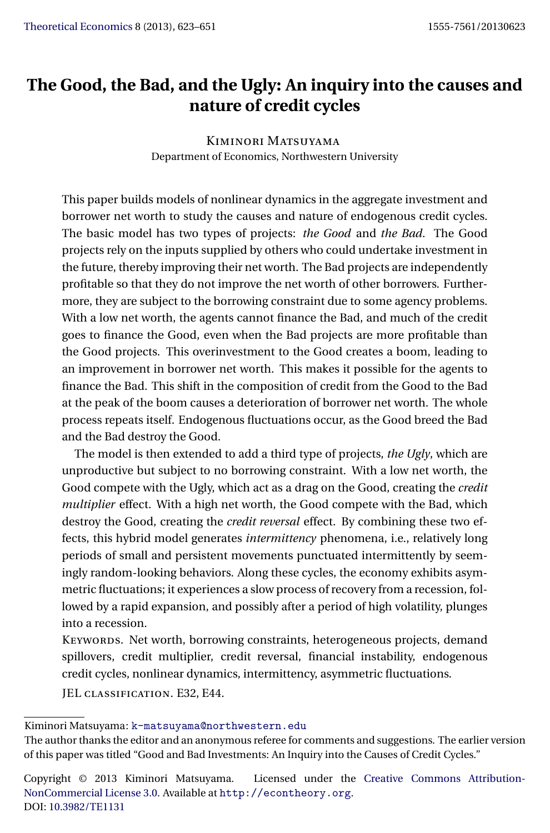# **The Good, the Bad, and the Ugly: An inquiry into the causes and nature of credit cycles**

Kiminori Matsuyama Department of Economics, Northwestern University

This paper builds models of nonlinear dynamics in the aggregate investment and borrower net worth to study the causes and nature of endogenous credit cycles. The basic model has two types of projects: *the Good* and *the Bad*. The Good projects rely on the inputs supplied by others who could undertake investment in the future, thereby improving their net worth. The Bad projects are independently profitable so that they do not improve the net worth of other borrowers. Furthermore, they are subject to the borrowing constraint due to some agency problems. With a low net worth, the agents cannot finance the Bad, and much of the credit goes to finance the Good, even when the Bad projects are more profitable than the Good projects. This overinvestment to the Good creates a boom, leading to an improvement in borrower net worth. This makes it possible for the agents to finance the Bad. This shift in the composition of credit from the Good to the Bad at the peak of the boom causes a deterioration of borrower net worth. The whole process repeats itself. Endogenous fluctuations occur, as the Good breed the Bad and the Bad destroy the Good.

The model is then extended to add a third type of projects, *the Ugly*, which are unproductive but subject to no borrowing constraint. With a low net worth, the Good compete with the Ugly, which act as a drag on the Good, creating the *credit multiplier* effect. With a high net worth, the Good compete with the Bad, which destroy the Good, creating the *credit reversal* effect. By combining these two effects, this hybrid model generates *intermittency* phenomena, i.e., relatively long periods of small and persistent movements punctuated intermittently by seemingly random-looking behaviors. Along these cycles, the economy exhibits asymmetric fluctuations; it experiences a slow process of recovery from a recession, followed by a rapid expansion, and possibly after a period of high volatility, plunges into a recession.

Keywords. Net worth, borrowing constraints, heterogeneous projects, demand spillovers, credit multiplier, credit reversal, financial instability, endogenous credit cycles, nonlinear dynamics, intermittency, asymmetric fluctuations.

JEL classification. E32, E44.

Copyright © 2013 Kiminori Matsuyama. Licensed under the [Creative Commons Attribution-](http://creativecommons.org/licenses/by-nc/3.0/)[NonCommercial License 3.0.](http://creativecommons.org/licenses/by-nc/3.0/) Available at [http://econtheory.org](http://econtheory.org/). DOI: [10.3982/TE1131](http://dx.doi.org/10.3982/TE1131)

Kiminori Matsuyama: [k-matsuyama@northwestern.edu](mailto:k-matsuyama@northwestern.edu)

The author thanks the editor and an anonymous referee for comments and suggestions. The earlier version of this paper was titled "Good and Bad Investments: An Inquiry into the Causes of Credit Cycles."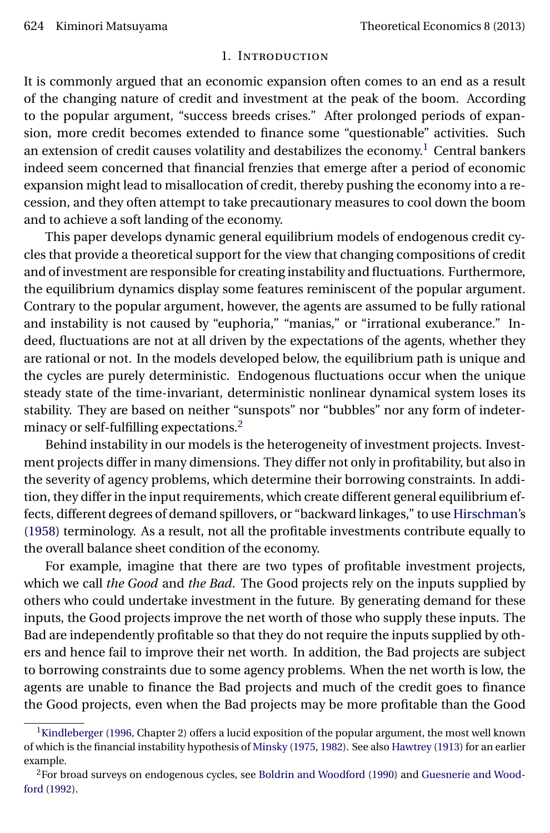#### 1. Introduction

<span id="page-1-0"></span>It is commonly argued that an economic expansion often comes to an end as a result of the changing nature of credit and investment at the peak of the boom. According to the popular argument, "success breeds crises." After prolonged periods of expansion, more credit becomes extended to finance some "questionable" activities. Such an extension of credit causes volatility and destabilizes the economy.<sup>1</sup> Central bankers indeed seem concerned that financial frenzies that emerge after a period of economic expansion might lead to misallocation of credit, thereby pushing the economy into a recession, and they often attempt to take precautionary measures to cool down the boom and to achieve a soft landing of the economy.

This paper develops dynamic general equilibrium models of endogenous credit cycles that provide a theoretical support for the view that changing compositions of credit and of investment are responsible for creating instability and fluctuations. Furthermore, the equilibrium dynamics display some features reminiscent of the popular argument. Contrary to the popular argument, however, the agents are assumed to be fully rational and instability is not caused by "euphoria," "manias," or "irrational exuberance." Indeed, fluctuations are not at all driven by the expectations of the agents, whether they are rational or not. In the models developed below, the equilibrium path is unique and the cycles are purely deterministic. Endogenous fluctuations occur when the unique steady state of the time-invariant, deterministic nonlinear dynamical system loses its stability. They are based on neither "sunspots" nor "bubbles" nor any form of indeterminacy or self-fulfilling expectations.<sup>2</sup>

Behind instability in our models is the heterogeneity of investment projects. Investment projects differ in many dimensions. They differ not only in profitability, but also in the severity of agency problems, which determine their borrowing constraints. In addition, they differ in the input requirements, which create different general equilibrium effects, different degrees of demand spillovers, or "backward linkages," to use [Hirschman'](#page-27-0)s [\(1958\)](#page-27-0) terminology. As a result, not all the profitable investments contribute equally to the overall balance sheet condition of the economy.

For example, imagine that there are two types of profitable investment projects, which we call *the Good* and *the Bad*. The Good projects rely on the inputs supplied by others who could undertake investment in the future. By generating demand for these inputs, the Good projects improve the net worth of those who supply these inputs. The Bad are independently profitable so that they do not require the inputs supplied by others and hence fail to improve their net worth. In addition, the Bad projects are subject to borrowing constraints due to some agency problems. When the net worth is low, the agents are unable to finance the Bad projects and much of the credit goes to finance the Good projects, even when the Bad projects may be more profitable than the Good

<sup>&</sup>lt;sup>1</sup>Kindleberger [\(1996,](#page-27-0) Chapter 2) offers a lucid exposition of the popular argument, the most well known of which is the financial instability hypothesis of [Minsky](#page-28-0) [\(1975,](#page-28-0) [1982\)](#page-28-0). See also [Hawtrey](#page-27-0) [\(1913\)](#page-27-0) for an earlier example.

<sup>2</sup>For broad surveys on endogenous cycles, see [Boldrin and Woodford](#page-27-0) [\(1990\)](#page-27-0) and [Guesnerie and Wood](#page-27-0)[ford](#page-27-0) [\(1992\)](#page-27-0).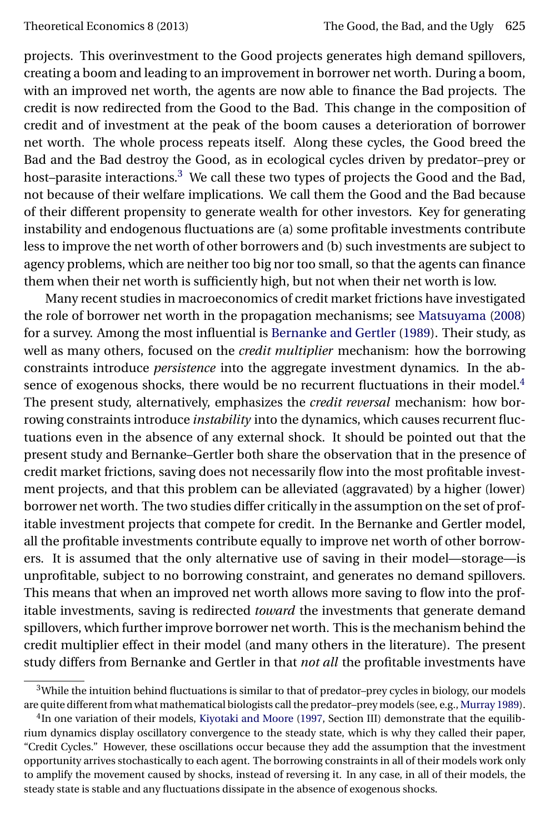<span id="page-2-0"></span>projects. This overinvestment to the Good projects generates high demand spillovers, creating a boom and leading to an improvement in borrower net worth. During a boom, with an improved net worth, the agents are now able to finance the Bad projects. The credit is now redirected from the Good to the Bad. This change in the composition of credit and of investment at the peak of the boom causes a deterioration of borrower net worth. The whole process repeats itself. Along these cycles, the Good breed the Bad and the Bad destroy the Good, as in ecological cycles driven by predator–prey or host–parasite interactions.<sup>3</sup> We call these two types of projects the Good and the Bad, not because of their welfare implications. We call them the Good and the Bad because of their different propensity to generate wealth for other investors. Key for generating instability and endogenous fluctuations are (a) some profitable investments contribute less to improve the net worth of other borrowers and (b) such investments are subject to agency problems, which are neither too big nor too small, so that the agents can finance them when their net worth is sufficiently high, but not when their net worth is low.

Many recent studies in macroeconomics of credit market frictions have investigated the role of borrower net worth in the propagation mechanisms; see [Matsuyama](#page-27-0) [\(2008\)](#page-27-0) for a survey. Among the most influential is [Bernanke and Gertler](#page-27-0) [\(1989\)](#page-27-0). Their study, as well as many others, focused on the *credit multiplier* mechanism: how the borrowing constraints introduce *persistence* into the aggregate investment dynamics. In the absence of exogenous shocks, there would be no recurrent fluctuations in their model. $4$ The present study, alternatively, emphasizes the *credit reversal* mechanism: how borrowing constraints introduce *instability* into the dynamics, which causes recurrent fluctuations even in the absence of any external shock. It should be pointed out that the present study and Bernanke–Gertler both share the observation that in the presence of credit market frictions, saving does not necessarily flow into the most profitable investment projects, and that this problem can be alleviated (aggravated) by a higher (lower) borrower net worth. The two studies differ critically in the assumption on the set of profitable investment projects that compete for credit. In the Bernanke and Gertler model, all the profitable investments contribute equally to improve net worth of other borrowers. It is assumed that the only alternative use of saving in their model—storage—is unprofitable, subject to no borrowing constraint, and generates no demand spillovers. This means that when an improved net worth allows more saving to flow into the profitable investments, saving is redirected *toward* the investments that generate demand spillovers, which further improve borrower net worth. This is the mechanism behind the credit multiplier effect in their model (and many others in the literature). The present study differs from Bernanke and Gertler in that *not all* the profitable investments have

<sup>&</sup>lt;sup>3</sup>While the intuition behind fluctuations is similar to that of predator-prey cycles in biology, our models are quite different from what mathematical biologists call the predator–prey models (see, e.g., [Murray 1989\)](#page-28-0).

<sup>&</sup>lt;sup>4</sup>In one variation of their models, [Kiyotaki and Moore](#page-27-0) [\(1997,](#page-27-0) Section III) demonstrate that the equilibrium dynamics display oscillatory convergence to the steady state, which is why they called their paper, "Credit Cycles." However, these oscillations occur because they add the assumption that the investment opportunity arrives stochastically to each agent. The borrowing constraints in all of their models work only to amplify the movement caused by shocks, instead of reversing it. In any case, in all of their models, the steady state is stable and any fluctuations dissipate in the absence of exogenous shocks.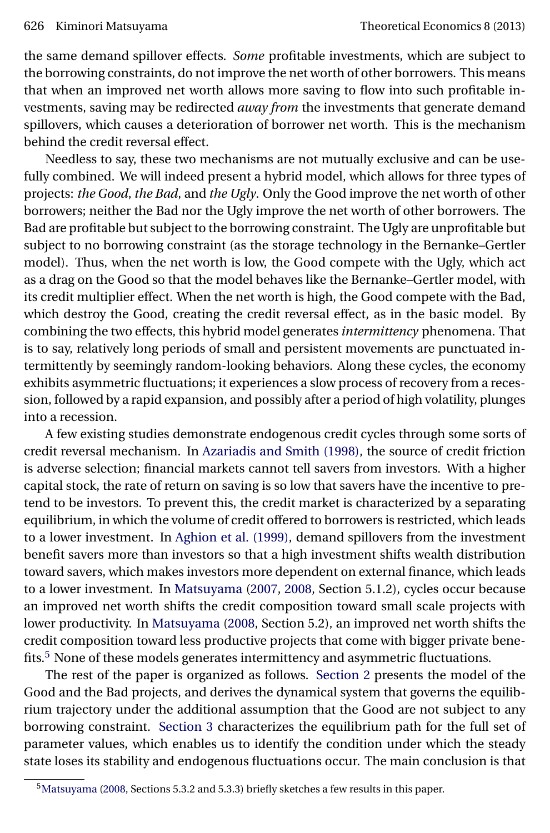<span id="page-3-0"></span>the same demand spillover effects. *Some* profitable investments, which are subject to the borrowing constraints, do not improve the net worth of other borrowers. This means that when an improved net worth allows more saving to flow into such profitable investments, saving may be redirected *away from* the investments that generate demand spillovers, which causes a deterioration of borrower net worth. This is the mechanism behind the credit reversal effect.

Needless to say, these two mechanisms are not mutually exclusive and can be usefully combined. We will indeed present a hybrid model, which allows for three types of projects: *the Good*, *the Bad*, and *the Ugly*. Only the Good improve the net worth of other borrowers; neither the Bad nor the Ugly improve the net worth of other borrowers. The Bad are profitable but subject to the borrowing constraint. The Ugly are unprofitable but subject to no borrowing constraint (as the storage technology in the Bernanke–Gertler model). Thus, when the net worth is low, the Good compete with the Ugly, which act as a drag on the Good so that the model behaves like the Bernanke–Gertler model, with its credit multiplier effect. When the net worth is high, the Good compete with the Bad, which destroy the Good, creating the credit reversal effect, as in the basic model. By combining the two effects, this hybrid model generates *intermittency* phenomena. That is to say, relatively long periods of small and persistent movements are punctuated intermittently by seemingly random-looking behaviors. Along these cycles, the economy exhibits asymmetric fluctuations; it experiences a slow process of recovery from a recession, followed by a rapid expansion, and possibly after a period of high volatility, plunges into a recession.

A few existing studies demonstrate endogenous credit cycles through some sorts of credit reversal mechanism. In [Azariadis and Smith \(1998\),](#page-27-0) the source of credit friction is adverse selection; financial markets cannot tell savers from investors. With a higher capital stock, the rate of return on saving is so low that savers have the incentive to pretend to be investors. To prevent this, the credit market is characterized by a separating equilibrium, in which the volume of credit offered to borrowers is restricted, which leads to a lower investment. In [Aghion et al. \(1999\),](#page-27-0) demand spillovers from the investment benefit savers more than investors so that a high investment shifts wealth distribution toward savers, which makes investors more dependent on external finance, which leads to a lower investment. In [Matsuyama](#page-27-0) [\(2007,](#page-27-0) [2008,](#page-27-0) Section 5.1.2), cycles occur because an improved net worth shifts the credit composition toward small scale projects with lower productivity. In [Matsuyama](#page-27-0) [\(2008,](#page-27-0) Section 5.2), an improved net worth shifts the credit composition toward less productive projects that come with bigger private benefits.<sup>5</sup> None of these models generates intermittency and asymmetric fluctuations.

The rest of the paper is organized as follows. [Section 2](#page-4-0) presents the model of the Good and the Bad projects, and derives the dynamical system that governs the equilibrium trajectory under the additional assumption that the Good are not subject to any borrowing constraint. [Section 3](#page-11-0) characterizes the equilibrium path for the full set of parameter values, which enables us to identify the condition under which the steady state loses its stability and endogenous fluctuations occur. The main conclusion is that

[<sup>5</sup>Matsuyama](#page-27-0) [\(2008,](#page-27-0) Sections 5.3.2 and 5.3.3) briefly sketches a few results in this paper.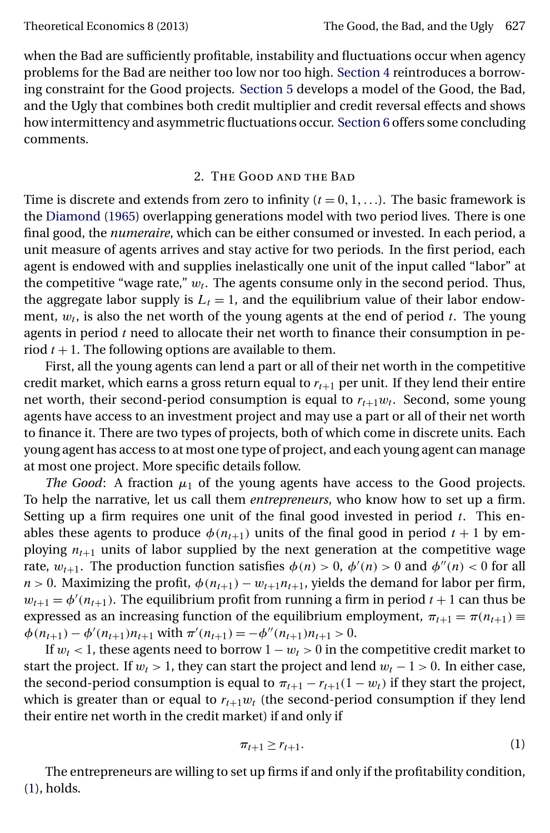<span id="page-4-0"></span>when the Bad are sufficiently profitable, instability and fluctuations occur when agency problems for the Bad are neither too low nor too high. [Section 4](#page-17-0) reintroduces a borrowing constraint for the Good projects. [Section 5](#page-19-0) develops a model of the Good, the Bad, and the Ugly that combines both credit multiplier and credit reversal effects and shows how intermittency and asymmetric fluctuations occur. [Section 6](#page-24-0) offers some concluding comments.

# 2. The Good and the Bad

Time is discrete and extends from zero to infinity ( $t = 0, 1, \ldots$ ). The basic framework is the [Diamond](#page-27-0) [\(1965\)](#page-27-0) overlapping generations model with two period lives. There is one final good, the *numeraire*, which can be either consumed or invested. In each period, a unit measure of agents arrives and stay active for two periods. In the first period, each agent is endowed with and supplies inelastically one unit of the input called "labor" at the competitive "wage rate,"  $w_t$ . The agents consume only in the second period. Thus, the aggregate labor supply is  $L_t = 1$ , and the equilibrium value of their labor endowment,  $w_t$ , is also the net worth of the young agents at the end of period t. The young agents in period  $t$  need to allocate their net worth to finance their consumption in period  $t + 1$ . The following options are available to them.

First, all the young agents can lend a part or all of their net worth in the competitive credit market, which earns a gross return equal to  $r_{t+1}$  per unit. If they lend their entire net worth, their second-period consumption is equal to  $r_{t+1}w_t$ . Second, some young agents have access to an investment project and may use a part or all of their net worth to finance it. There are two types of projects, both of which come in discrete units. Each young agent has access to at most one type of project, and each young agent can manage at most one project. More specific details follow.

*The Good*: A fraction  $\mu_1$  of the young agents have access to the Good projects. To help the narrative, let us call them *entrepreneurs*, who know how to set up a firm. Setting up a firm requires one unit of the final good invested in period  $t$ . This enables these agents to produce  $\phi(n_{t+1})$  units of the final good in period  $t + 1$  by employing  $n_{t+1}$  units of labor supplied by the next generation at the competitive wage rate,  $w_{t+1}$ . The production function satisfies  $\phi(n) > 0$ ,  $\phi'(n) > 0$  and  $\phi''(n) < 0$  for all  $n > 0$ . Maximizing the profit,  $\phi(n_{t+1}) - w_{t+1}n_{t+1}$ , yields the demand for labor per firm,  $w_{t+1} = \phi'(n_{t+1})$ . The equilibrium profit from running a firm in period  $t + 1$  can thus be expressed as an increasing function of the equilibrium employment,  $\pi_{t+1} = \pi(n_{t+1})$  $\phi(n_{t+1}) - \phi'(n_{t+1})n_{t+1}$  with  $\pi'(n_{t+1}) = -\phi''(n_{t+1})n_{t+1} > 0$ .

If  $w_t$  < 1, these agents need to borrow  $1 - w_t > 0$  in the competitive credit market to start the project. If  $w_t > 1$ , they can start the project and lend  $w_t - 1 > 0$ . In either case, the second-period consumption is equal to  $\pi_{t+1} - r_{t+1}(1 - w_t)$  if they start the project, which is greater than or equal to  $r_{t+1}w_t$  (the second-period consumption if they lend their entire net worth in the credit market) if and only if

$$
\pi_{t+1} \ge r_{t+1}.\tag{1}
$$

The entrepreneurs are willing to set up firms if and only if the profitability condition, (1), holds.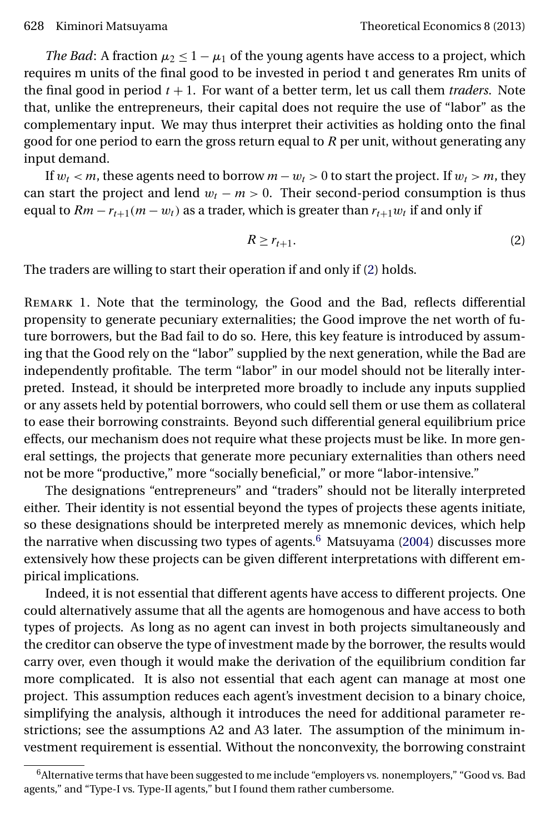<span id="page-5-0"></span>*The Bad*: A fraction  $\mu_2 \leq 1 - \mu_1$  of the young agents have access to a project, which requires m units of the final good to be invested in period t and generates Rm units of the final good in period  $t + 1$ . For want of a better term, let us call them *traders*. Note that, unlike the entrepreneurs, their capital does not require the use of "labor" as the complementary input. We may thus interpret their activities as holding onto the final good for one period to earn the gross return equal to  $R$  per unit, without generating any input demand.

If  $w_t < m$ , these agents need to borrow  $m - w_t > 0$  to start the project. If  $w_t > m$ , they can start the project and lend  $w_t - m > 0$ . Their second-period consumption is thus equal to  $Rm - r_{t+1}(m - w_t)$  as a trader, which is greater than  $r_{t+1}w_t$  if and only if

$$
R \geq r_{t+1}.\tag{2}
$$

The traders are willing to start their operation if and only if (2) holds.

Remark 1. Note that the terminology, the Good and the Bad, reflects differential propensity to generate pecuniary externalities; the Good improve the net worth of future borrowers, but the Bad fail to do so. Here, this key feature is introduced by assuming that the Good rely on the "labor" supplied by the next generation, while the Bad are independently profitable. The term "labor" in our model should not be literally interpreted. Instead, it should be interpreted more broadly to include any inputs supplied or any assets held by potential borrowers, who could sell them or use them as collateral to ease their borrowing constraints. Beyond such differential general equilibrium price effects, our mechanism does not require what these projects must be like. In more general settings, the projects that generate more pecuniary externalities than others need not be more "productive," more "socially beneficial," or more "labor-intensive."

The designations "entrepreneurs" and "traders" should not be literally interpreted either. Their identity is not essential beyond the types of projects these agents initiate, so these designations should be interpreted merely as mnemonic devices, which help the narrative when discussing two types of agents. $6 \text{ Matsuyama}$  [\(2004\)](#page-27-0) discusses more extensively how these projects can be given different interpretations with different empirical implications.

Indeed, it is not essential that different agents have access to different projects. One could alternatively assume that all the agents are homogenous and have access to both types of projects. As long as no agent can invest in both projects simultaneously and the creditor can observe the type of investment made by the borrower, the results would carry over, even though it would make the derivation of the equilibrium condition far more complicated. It is also not essential that each agent can manage at most one project. This assumption reduces each agent's investment decision to a binary choice, simplifying the analysis, although it introduces the need for additional parameter restrictions; see the assumptions A2 and A3 later. The assumption of the minimum investment requirement is essential. Without the nonconvexity, the borrowing constraint

<sup>6</sup>Alternative terms that have been suggested to me include "employers vs. nonemployers," "Good vs. Bad agents," and "Type-I vs. Type-II agents," but I found them rather cumbersome.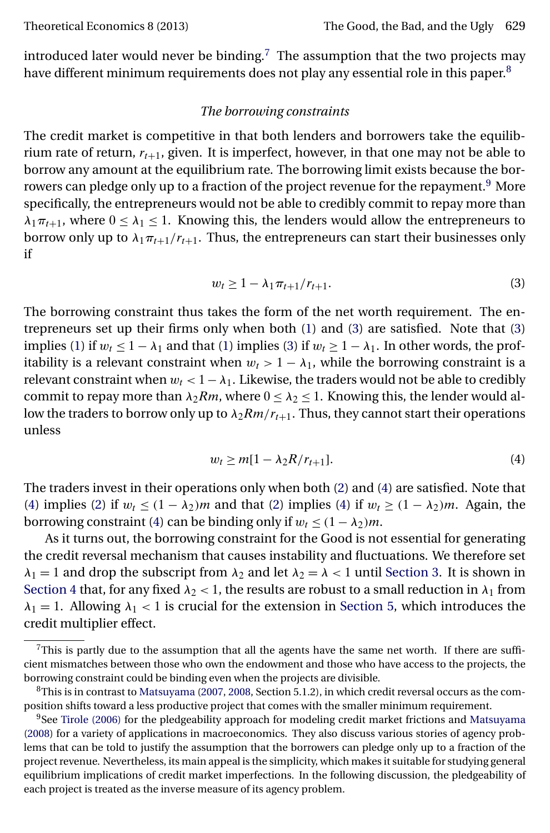<span id="page-6-0"></span>introduced later would never be binding.<sup>7</sup> The assumption that the two projects may have different minimum requirements does not play any essential role in this paper.<sup>8</sup>

# *The borrowing constraints*

The credit market is competitive in that both lenders and borrowers take the equilibrium rate of return,  $r_{t+1}$ , given. It is imperfect, however, in that one may not be able to borrow any amount at the equilibrium rate. The borrowing limit exists because the borrowers can pledge only up to a fraction of the project revenue for the repayment.<sup>9</sup> More specifically, the entrepreneurs would not be able to credibly commit to repay more than  $\lambda_1 \pi_{t+1}$ , where  $0 \leq \lambda_1 \leq 1$ . Knowing this, the lenders would allow the entrepreneurs to borrow only up to  $\lambda_1 \pi_{t+1}/r_{t+1}$ . Thus, the entrepreneurs can start their businesses only if

$$
w_t \ge 1 - \lambda_1 \pi_{t+1}/r_{t+1}.
$$
\n(3)

The borrowing constraint thus takes the form of the net worth requirement. The entrepreneurs set up their firms only when both [\(1\)](#page-4-0) and (3) are satisfied. Note that (3) implies [\(1\)](#page-4-0) if  $w_t \le 1 - \lambda_1$  and that (1) implies (3) if  $w_t \ge 1 - \lambda_1$ . In other words, the profitability is a relevant constraint when  $w_t > 1 - \lambda_1$ , while the borrowing constraint is a relevant constraint when  $w_t < 1 - \lambda_1$ . Likewise, the traders would not be able to credibly commit to repay more than  $\lambda_2 Rm$ , where  $0 \leq \lambda_2 \leq 1$ . Knowing this, the lender would allow the traders to borrow only up to  $\lambda_2 Rm/r_{t+1}$ . Thus, they cannot start their operations unless

$$
w_t \ge m[1 - \lambda_2 R/r_{t+1}]. \tag{4}
$$

The traders invest in their operations only when both [\(2\)](#page-5-0) and (4) are satisfied. Note that (4) implies [\(2\)](#page-5-0) if  $w_t \leq (1 - \lambda_2)m$  and that (2) implies (4) if  $w_t \geq (1 - \lambda_2)m$ . Again, the borrowing constraint (4) can be binding only if  $w_t \le (1 - \lambda_2)m$ .

As it turns out, the borrowing constraint for the Good is not essential for generating the credit reversal mechanism that causes instability and fluctuations. We therefore set  $\lambda_1 = 1$  and drop the subscript from  $\lambda_2$  and let  $\lambda_2 = \lambda < 1$  until [Section 3.](#page-11-0) It is shown in [Section 4](#page-17-0) that, for any fixed  $\lambda_2 < 1$ , the results are robust to a small reduction in  $\lambda_1$  from  $\lambda_1 = 1$ . Allowing  $\lambda_1 < 1$  is crucial for the extension in [Section 5,](#page-19-0) which introduces the credit multiplier effect.

 $7$ This is partly due to the assumption that all the agents have the same net worth. If there are sufficient mismatches between those who own the endowment and those who have access to the projects, the borrowing constraint could be binding even when the projects are divisible.

 $8$ This is in contrast to [Matsuyama](#page-27-0) [\(2007,](#page-27-0) [2008,](#page-27-0) Section 5.1.2), in which credit reversal occurs as the composition shifts toward a less productive project that comes with the smaller minimum requirement.

<sup>&</sup>lt;sup>9</sup>See [Tirole \(2006\)](#page-28-0) for the pledgeability approach for modeling credit market frictions and [Matsuyama](#page-27-0) [\(2008\)](#page-27-0) for a variety of applications in macroeconomics. They also discuss various stories of agency problems that can be told to justify the assumption that the borrowers can pledge only up to a fraction of the project revenue. Nevertheless, its main appeal is the simplicity, which makes it suitable for studying general equilibrium implications of credit market imperfections. In the following discussion, the pledgeability of each project is treated as the inverse measure of its agency problem.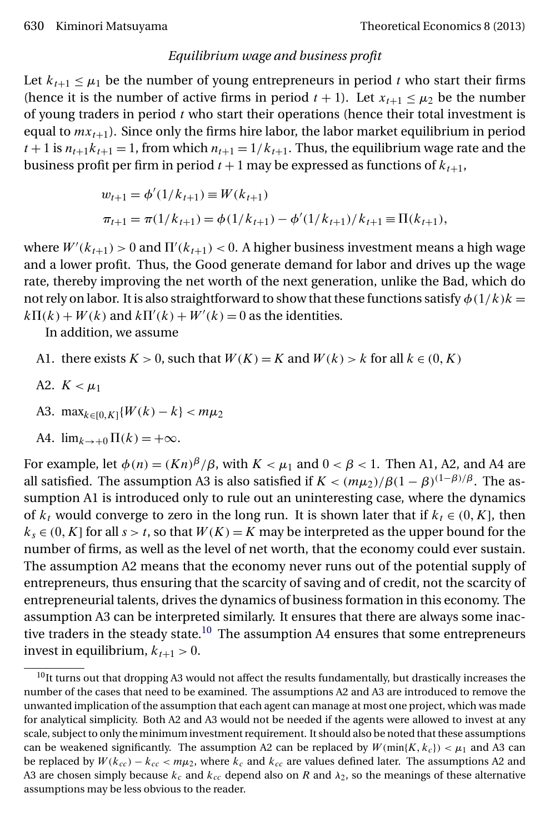## *Equilibrium wage and business profit*

Let  $k_{t+1} \leq \mu_1$  be the number of young entrepreneurs in period t who start their firms (hence it is the number of active firms in period  $t + 1$ ). Let  $x_{t+1} \leq \mu_2$  be the number of young traders in period  $t$  who start their operations (hence their total investment is equal to  $mx_{t+1}$ ). Since only the firms hire labor, the labor market equilibrium in period  $t + 1$  is  $n_{t+1}k_{t+1} = 1$ , from which  $n_{t+1} = 1/k_{t+1}$ . Thus, the equilibrium wage rate and the business profit per firm in period  $t + 1$  may be expressed as functions of  $k_{t+1}$ ,

$$
w_{t+1} = \phi'(1/k_{t+1}) \equiv W(k_{t+1})
$$
  

$$
\pi_{t+1} = \pi(1/k_{t+1}) = \phi(1/k_{t+1}) - \phi'(1/k_{t+1})/k_{t+1} \equiv \Pi(k_{t+1}),
$$

where  $W'(k_{t+1}) > 0$  and  $\Pi'(k_{t+1}) < 0$ . A higher business investment means a high wage and a lower profit. Thus, the Good generate demand for labor and drives up the wage rate, thereby improving the net worth of the next generation, unlike the Bad, which do not rely on labor. It is also straightforward to show that these functions satisfy  $\phi(1/k)k =$  $k\Pi(k) + W(k)$  and  $k\Pi'(k) + W'(k) = 0$  as the identities.

In addition, we assume

- A1. there exists  $K > 0$ , such that  $W(K) = K$  and  $W(k) > k$  for all  $k \in (0, K)$
- A2.  $K < \mu_1$
- A3. ma $x_{k \in [0,K]}{W(k)-k} < m\mu_2$

A4. 
$$
\lim_{k \to +0} \Pi(k) = +\infty.
$$

For example, let  $\phi(n) = (Kn)^{\beta}/\beta$ , with  $K < \mu_1$  and  $0 < \beta < 1$ . Then A1, A2, and A4 are all satisfied. The assumption A3 is also satisfied if  $K < (m\mu_2)/\beta(1-\beta)^{(1-\beta)/\beta}$ . The assumption A1 is introduced only to rule out an uninteresting case, where the dynamics of  $k_t$  would converge to zero in the long run. It is shown later that if  $k_t \in (0, K]$ , then  $k_s \in (0, K]$  for all  $s > t$ , so that  $W(K) = K$  may be interpreted as the upper bound for the number of firms, as well as the level of net worth, that the economy could ever sustain. The assumption A2 means that the economy never runs out of the potential supply of entrepreneurs, thus ensuring that the scarcity of saving and of credit, not the scarcity of entrepreneurial talents, drives the dynamics of business formation in this economy. The assumption A3 can be interpreted similarly. It ensures that there are always some inactive traders in the steady state.<sup>10</sup> The assumption A4 ensures that some entrepreneurs invest in equilibrium,  $k_{t+1} > 0$ .

 $10$ It turns out that dropping A3 would not affect the results fundamentally, but drastically increases the number of the cases that need to be examined. The assumptions A2 and A3 are introduced to remove the unwanted implication of the assumption that each agent can manage at most one project, which was made for analytical simplicity. Both A2 and A3 would not be needed if the agents were allowed to invest at any scale, subject to only the minimum investment requirement. It should also be noted that these assumptions can be weakened significantly. The assumption A2 can be replaced by  $W(\min\{K, k_c\}) < \mu_1$  and A3 can be replaced by  $W(k_{cc}) - k_{cc} < m\mu_2$ , where  $k_c$  and  $k_{cc}$  are values defined later. The assumptions A2 and A3 are chosen simply because  $k_c$  and  $k_{cc}$  depend also on R and  $\lambda_2$ , so the meanings of these alternative assumptions may be less obvious to the reader.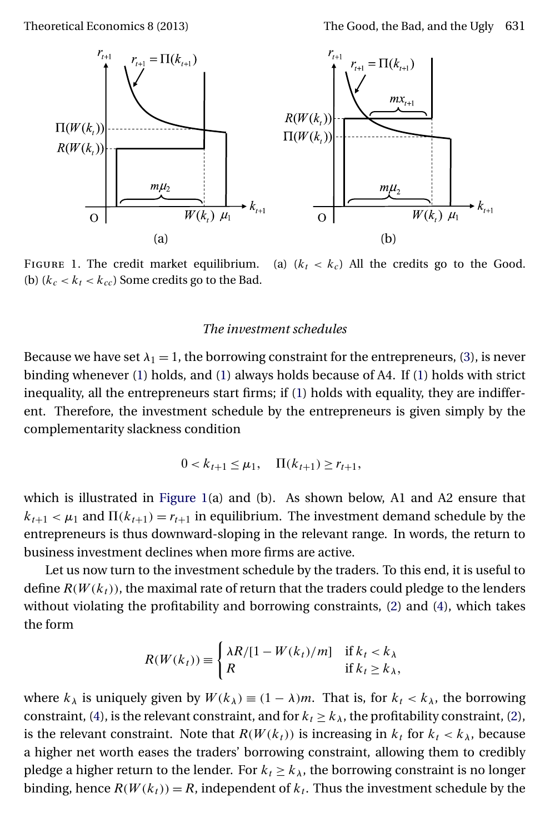<span id="page-8-0"></span>



FIGURE 1. The credit market equilibrium. (a)  $(k_t < k_c)$  All the credits go to the Good. (b)  $(k_c < k_t < k_{cc})$  Some credits go to the Bad.

#### *The investment schedules*

Because we have set  $\lambda_1 = 1$ , the borrowing constraint for the entrepreneurs, [\(3\)](#page-6-0), is never binding whenever [\(1\)](#page-4-0) holds, and [\(1\)](#page-4-0) always holds because of A4. If [\(1\)](#page-4-0) holds with strict inequality, all the entrepreneurs start firms; if [\(1\)](#page-4-0) holds with equality, they are indifferent. Therefore, the investment schedule by the entrepreneurs is given simply by the complementarity slackness condition

$$
0 < k_{t+1} \le \mu_1, \quad \Pi(k_{t+1}) \ge r_{t+1},
$$

which is illustrated in Figure 1(a) and (b). As shown below, A1 and A2 ensure that  $k_{t+1} < \mu_1$  and  $\Pi(k_{t+1}) = r_{t+1}$  in equilibrium. The investment demand schedule by the entrepreneurs is thus downward-sloping in the relevant range. In words, the return to business investment declines when more firms are active.

Let us now turn to the investment schedule by the traders. To this end, it is useful to define  $R(W(k<sub>t</sub>))$ , the maximal rate of return that the traders could pledge to the lenders without violating the profitability and borrowing constraints, [\(2\)](#page-5-0) and [\(4\)](#page-6-0), which takes the form

$$
R(W(k_t)) \equiv \begin{cases} \lambda R/[1 - W(k_t)/m] & \text{if } k_t < k_\lambda \\ R & \text{if } k_t \ge k_\lambda, \end{cases}
$$

where  $k_{\lambda}$  is uniquely given by  $W(k_{\lambda}) \equiv (1 - \lambda)m$ . That is, for  $k_t < k_{\lambda}$ , the borrowing constraint, [\(4\)](#page-6-0), is the relevant constraint, and for  $k_t \ge k_\lambda$ , the profitability constraint, [\(2\)](#page-5-0), is the relevant constraint. Note that  $R(W(k<sub>t</sub>))$  is increasing in  $k<sub>t</sub>$  for  $k<sub>t</sub> < k<sub>\lambda</sub>$ , because a higher net worth eases the traders' borrowing constraint, allowing them to credibly pledge a higher return to the lender. For  $k_t \geq k_\lambda$ , the borrowing constraint is no longer binding, hence  $R(W(k<sub>t</sub>)) = R$ , independent of  $k<sub>t</sub>$ . Thus the investment schedule by the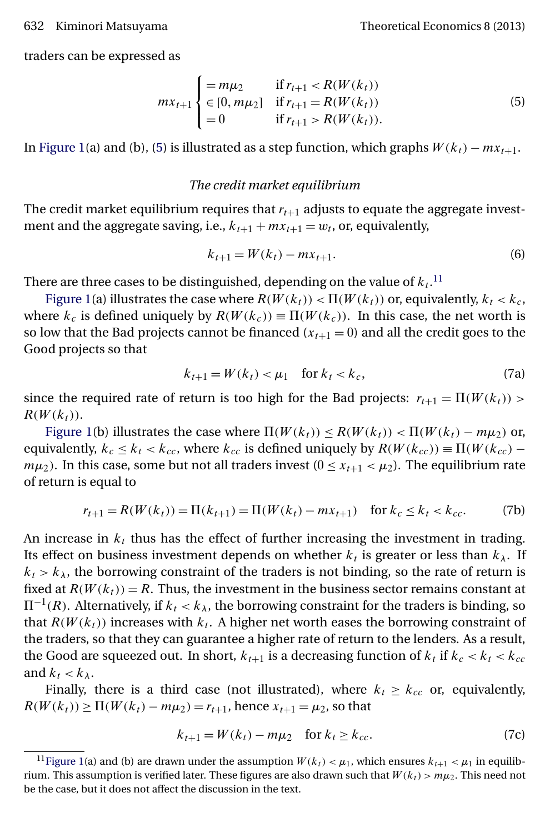<span id="page-9-0"></span>traders can be expressed as

$$
mx_{t+1} \begin{cases} = m\mu_2 & \text{if } r_{t+1} < R(W(k_t)) \\ \in [0, m\mu_2] & \text{if } r_{t+1} = R(W(k_t)) \\ = 0 & \text{if } r_{t+1} > R(W(k_t)). \end{cases} \tag{5}
$$

In [Figure 1\(](#page-8-0)a) and (b), (5) is illustrated as a step function, which graphs  $W(k_t) - mx_{t+1}$ .

#### *The credit market equilibrium*

The credit market equilibrium requires that  $r_{t+1}$  adjusts to equate the aggregate investment and the aggregate saving, i.e.,  $k_{t+1} + mx_{t+1} = w_t$ , or, equivalently,

$$
k_{t+1} = W(k_t) - mx_{t+1}.
$$
 (6)

There are three cases to be distinguished, depending on the value of  $k_t$ .<sup>11</sup>

Figure 1(a) illustrates the case where  $R(W(k<sub>t</sub>)) < \Pi(W(k<sub>t</sub>))$  or, equivalently,  $k<sub>t</sub> < k<sub>c</sub>$ , where  $k_c$  is defined uniquely by  $R(W(k_c)) \equiv \Pi(W(k_c))$ . In this case, the net worth is so low that the Bad projects cannot be financed  $(x_{t+1} = 0)$  and all the credit goes to the Good projects so that

$$
k_{t+1} = W(k_t) < \mu_1 \quad \text{for } k_t < k_c,\tag{7a}
$$

since the required rate of return is too high for the Bad projects:  $r_{t+1} = \Pi(W(k_t))$  >  $R(W(k_t)).$ 

[Figure 1\(](#page-8-0)b) illustrates the case where  $\Pi(W (k_t)) \le R(W (k_t)) < \Pi(W (k_t) - m\mu_2)$  or, equivalently,  $k_c \le k_t < k_{cc}$ , where  $k_{cc}$  is defined uniquely by  $R(W(k_{cc})) \equiv \Pi(W(k_{cc})$  $m\mu_2$ ). In this case, some but not all traders invest  $(0 \le x_{t+1} < \mu_2)$ . The equilibrium rate of return is equal to

$$
r_{t+1} = R(W(k_t)) = \Pi(k_{t+1}) = \Pi(W(k_t) - mx_{t+1}) \quad \text{for } k_c \le k_t < k_{cc}.\tag{7b}
$$

An increase in  $k_t$  thus has the effect of further increasing the investment in trading. Its effect on business investment depends on whether  $k_t$  is greater or less than  $k_{\lambda}$ . If  $k_t > k_\lambda$ , the borrowing constraint of the traders is not binding, so the rate of return is fixed at  $R(W(k<sub>t</sub>)) = R$ . Thus, the investment in the business sector remains constant at  $\Pi^{-1}(R)$ . Alternatively, if  $k_t < k_\lambda$ , the borrowing constraint for the traders is binding, so that  $R(W(k<sub>t</sub>))$  increases with  $k<sub>t</sub>$ . A higher net worth eases the borrowing constraint of the traders, so that they can guarantee a higher rate of return to the lenders. As a result, the Good are squeezed out. In short,  $k_{t+1}$  is a decreasing function of  $k_t$  if  $k_c < k_t < k_{cc}$ and  $k_t < k_\lambda$ .

Finally, there is a third case (not illustrated), where  $k_t \geq k_{cc}$  or, equivalently,  $R(W(k_t)) \ge \Pi(W(k_t) - m\mu_2) = r_{t+1}$ , hence  $x_{t+1} = \mu_2$ , so that

$$
k_{t+1} = W(k_t) - m\mu_2 \quad \text{for } k_t \ge k_{cc}.\tag{7c}
$$

<sup>&</sup>lt;sup>11</sup>Figure 1(a) and (b) are drawn under the assumption  $W(k_1) < \mu_1$ , which ensures  $k_{t+1} < \mu_1$  in equilibrium. This assumption is verified later. These figures are also drawn such that  $W(k_1) > m\mu_2$ . This need not be the case, but it does not affect the discussion in the text.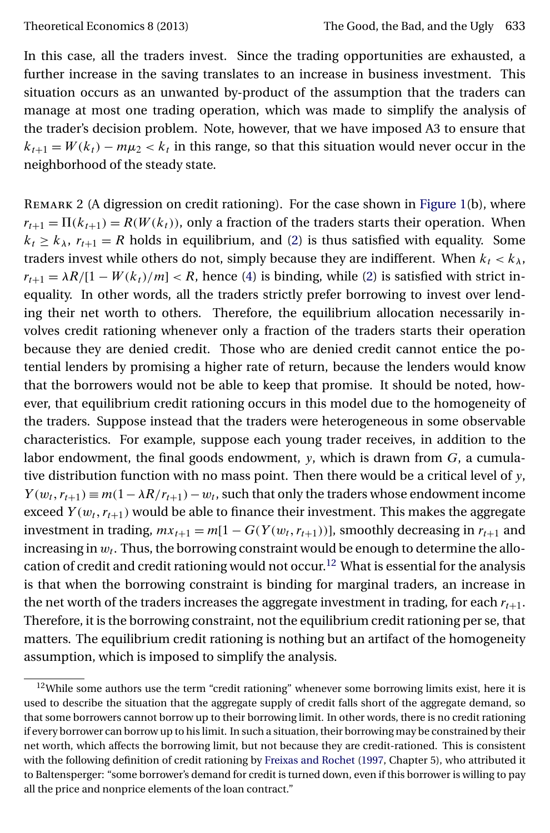<span id="page-10-0"></span>In this case, all the traders invest. Since the trading opportunities are exhausted, a further increase in the saving translates to an increase in business investment. This situation occurs as an unwanted by-product of the assumption that the traders can manage at most one trading operation, which was made to simplify the analysis of the trader's decision problem. Note, however, that we have imposed A3 to ensure that  $k_{t+1} = W(k_t) - m\mu_2 < k_t$  in this range, so that this situation would never occur in the neighborhood of the steady state.

REMARK 2 (A digression on credit rationing). For the case shown in [Figure 1\(](#page-8-0)b), where  $r_{t+1} = \Pi(k_{t+1}) = R(W(k_t))$ , only a fraction of the traders starts their operation. When  $k_t \ge k_\lambda$ ,  $r_{t+1} = R$  holds in equilibrium, and [\(2\)](#page-12-0) is thus satisfied with equality. Some traders invest while others do not, simply because they are indifferent. When  $k_t < k_\lambda$ ,  $r_{t+1} = \lambda R/[1 - W(k_t)/m] < R$ , hence [\(4\)](#page-18-0) is binding, while [\(2\)](#page-12-0) is satisfied with strict inequality. In other words, all the traders strictly prefer borrowing to invest over lending their net worth to others. Therefore, the equilibrium allocation necessarily involves credit rationing whenever only a fraction of the traders starts their operation because they are denied credit. Those who are denied credit cannot entice the potential lenders by promising a higher rate of return, because the lenders would know that the borrowers would not be able to keep that promise. It should be noted, however, that equilibrium credit rationing occurs in this model due to the homogeneity of the traders. Suppose instead that the traders were heterogeneous in some observable characteristics. For example, suppose each young trader receives, in addition to the labor endowment, the final goods endowment,  $y$ , which is drawn from  $G$ , a cumulative distribution function with no mass point. Then there would be a critical level of y,  $Y(w_t, r_{t+1}) \equiv m(1 - \lambda R/r_{t+1}) - w_t$ , such that only the traders whose endowment income exceed  $Y(w_t, r_{t+1})$  would be able to finance their investment. This makes the aggregate investment in trading,  $mx_{t+1} = m[1 - G(Y(w_t, r_{t+1}))]$ , smoothly decreasing in  $r_{t+1}$  and increasing in  $w_t$ . Thus, the borrowing constraint would be enough to determine the allocation of credit and credit rationing would not occur.<sup>12</sup> What is essential for the analysis is that when the borrowing constraint is binding for marginal traders, an increase in the net worth of the traders increases the aggregate investment in trading, for each  $r_{t+1}$ . Therefore, it is the borrowing constraint, not the equilibrium credit rationing per se, that matters. The equilibrium credit rationing is nothing but an artifact of the homogeneity assumption, which is imposed to simplify the analysis.

 $12$ While some authors use the term "credit rationing" whenever some borrowing limits exist, here it is used to describe the situation that the aggregate supply of credit falls short of the aggregate demand, so that some borrowers cannot borrow up to their borrowing limit. In other words, there is no credit rationing if every borrower can borrow up to his limit. In such a situation, their borrowing may be constrained by their net worth, which affects the borrowing limit, but not because they are credit-rationed. This is consistent with the following definition of credit rationing by [Freixas and Rochet](#page-27-0) [\(1997,](#page-27-0) Chapter 5), who attributed it to Baltensperger: "some borrower's demand for credit is turned down, even if this borrower is willing to pay all the price and nonprice elements of the loan contract."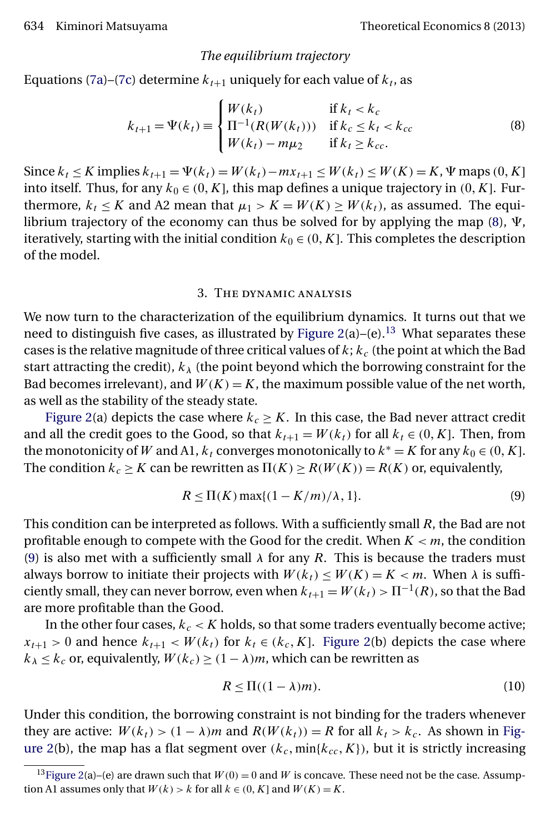## *The equilibrium trajectory*

<span id="page-11-0"></span>Equations [\(7a\)](#page-9-0)–[\(7c\)](#page-9-0) determine  $k_{t+1}$  uniquely for each value of  $k_t$ , as

$$
k_{t+1} = \Psi(k_t) \equiv \begin{cases} W(k_t) & \text{if } k_t < k_c \\ \Pi^{-1}(R(W(k_t))) & \text{if } k_c \le k_t < k_{cc} \\ W(k_t) - m\mu_2 & \text{if } k_t \ge k_{cc}. \end{cases} \tag{8}
$$

Since  $k_t \le K$  implies  $k_{t+1} = \Psi(k_t) = W(k_t) - mx_{t+1} \le W(k_t) \le W(K) = K$ ,  $\Psi$  maps (0, K] into itself. Thus, for any  $k_0 \in (0, K]$ , this map defines a unique trajectory in  $(0, K]$ . Furthermore,  $k_t \le K$  and A2 mean that  $\mu_1 > K = W(K) \ge W(k_t)$ , as assumed. The equilibrium trajectory of the economy can thus be solved for by applying the map  $(8)$ ,  $\Psi$ , iteratively, starting with the initial condition  $k_0 \in (0, K]$ . This completes the description of the model.

#### 3. The dynamic analysis

We now turn to the characterization of the equilibrium dynamics. It turns out that we need to distinguish five cases, as illustrated by Figure  $2(a)$ –(e).<sup>13</sup> What separates these cases is the relative magnitude of three critical values of  $k$ ;  $k_c$  (the point at which the Bad start attracting the credit),  $k_{\lambda}$  (the point beyond which the borrowing constraint for the Bad becomes irrelevant), and  $W(K) = K$ , the maximum possible value of the net worth, as well as the stability of the steady state.

[Figure 2\(](#page-12-0)a) depicts the case where  $k_c \geq K$ . In this case, the Bad never attract credit and all the credit goes to the Good, so that  $k_{t+1} = W(k_t)$  for all  $k_t \in (0, K]$ . Then, from the monotonicity of W and A1,  $k_t$  converges monotonically to  $k^* = K$  for any  $k_0 \in (0, K]$ . The condition  $k_c \ge K$  can be rewritten as  $\Pi(K) \ge R(W(K)) = R(K)$  or, equivalently,

$$
R \le \Pi(K) \max\{(1 - K/m)/\lambda, 1\}.
$$
\n(9)

This condition can be interpreted as follows. With a sufficiently small  $R$ , the Bad are not profitable enough to compete with the Good for the credit. When  $K < m$ , the condition (9) is also met with a sufficiently small  $\lambda$  for any R. This is because the traders must always borrow to initiate their projects with  $W(k_t) \leq W(K) = K < m$ . When  $\lambda$  is sufficiently small, they can never borrow, even when  $k_{t+1} = W(k_t) > \Pi^{-1}(R)$ , so that the Bad are more profitable than the Good.

In the other four cases,  $k_c < K$  holds, so that some traders eventually become active;  $x_{t+1} > 0$  and hence  $k_{t+1} < W(k_t)$  for  $k_t \in (k_c, K]$ . [Figure 2\(](#page-12-0)b) depicts the case where  $k_{\lambda} \leq k_c$  or, equivalently,  $W(k_c) \geq (1 - \lambda)m$ , which can be rewritten as

$$
R \le \Pi((1 - \lambda)m). \tag{10}
$$

Under this condition, the borrowing constraint is not binding for the traders whenever they are active:  $W(k_t) > (1 - \lambda)m$  and  $R(W(k_t)) = R$  for all  $k_t > k_c$ . As shown in [Fig](#page-12-0)[ure 2\(](#page-12-0)b), the map has a flat segment over  $(k_c, \min\{k_{cc}, K\})$ , but it is strictly increasing

<sup>&</sup>lt;sup>13</sup>Figure 2(a)–(e) are drawn such that  $W(0) = 0$  and W is concave. These need not be the case. Assumption A1 assumes only that  $W(k) > k$  for all  $k \in (0, K]$  and  $W(K) = K$ .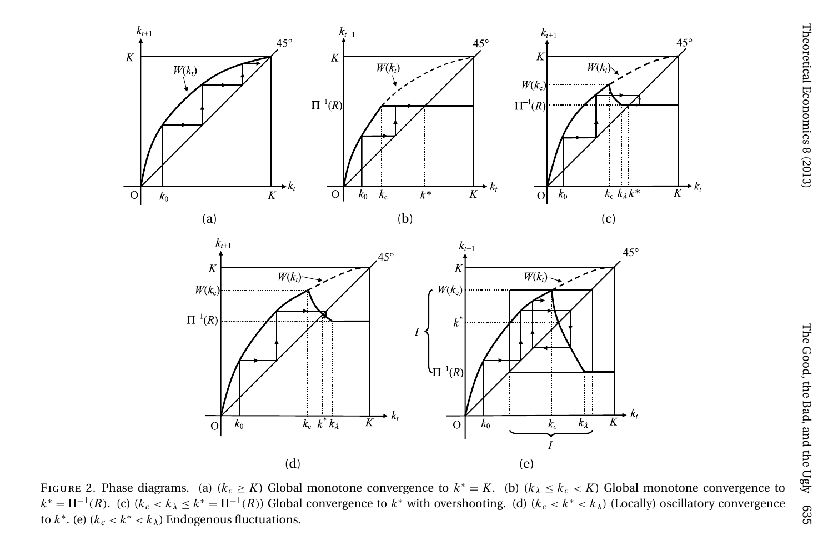<span id="page-12-0"></span>

FIGURE 2. Phase diagrams. (a) ( $k_c \ge K$ ) Global monotone convergence to  $k^* = K$ . (b) ( $k_\lambda \le k_c < K$ ) Global monotone convergence to  $k^* = \Pi^{-1}(R)$ . (c)  $(k_c < k_\lambda \le k^* = \Pi^{-1}(R)$ ) Global convergence to  $k^*$  with overshooting. (d)  $(k_c < k^* < k_\lambda)$  (Locally) oscillatory convergence to  $k^*$ . (e) ( $k_c < k^* < k_{\lambda}$ ) Endogenous fluctuations.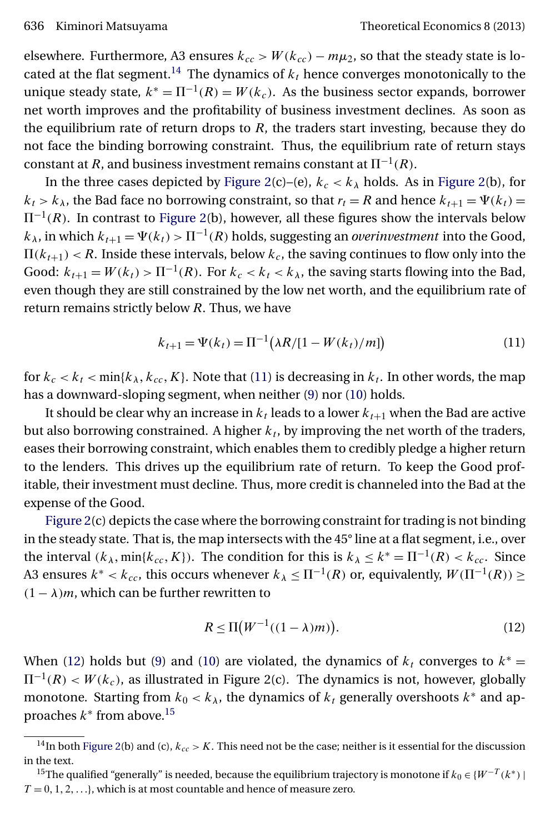<span id="page-13-0"></span>elsewhere. Furthermore, A3 ensures  $k_{cc} > W(k_{cc}) - m\mu_2$ , so that the steady state is located at the flat segment.<sup>14</sup> The dynamics of  $k_t$  hence converges monotonically to the unique steady state,  $k^* = \Pi^{-1}(R) = W(k_c)$ . As the business sector expands, borrower net worth improves and the profitability of business investment declines. As soon as the equilibrium rate of return drops to  $R$ , the traders start investing, because they do not face the binding borrowing constraint. Thus, the equilibrium rate of return stays constant at R, and business investment remains constant at  $\Pi^{-1}(R)$ .

In the three cases depicted by [Figure 2\(](#page-12-0)c)–(e),  $k_c < k<sub>\lambda</sub>$  holds. As in Figure 2(b), for  $k_t > k_\lambda$ , the Bad face no borrowing constraint, so that  $r_t = R$  and hence  $k_{t+1} = \Psi(k_t) =$  $\Pi^{-1}(R)$ . In contrast to [Figure 2\(](#page-12-0)b), however, all these figures show the intervals below  $k_{\lambda}$ , in which  $k_{t+1} = \Psi(k_t) > \Pi^{-1}(R)$  holds, suggesting an *overinvestment* into the Good,  $\Pi(k_{t+1}) < R$ . Inside these intervals, below  $k_c$ , the saving continues to flow only into the Good:  $k_{t+1} = W(k_t) > \Pi^{-1}(R)$ . For  $k_c < k_t < k_\lambda$ , the saving starts flowing into the Bad, even though they are still constrained by the low net worth, and the equilibrium rate of return remains strictly below R. Thus, we have

$$
k_{t+1} = \Psi(k_t) = \Pi^{-1} \big( \lambda R / [1 - W(k_t) / m] \big)
$$
 (11)

for  $k_c < k_t < \min\{k_{\lambda}, k_{cc}, K\}$ . Note that (11) is decreasing in  $k_t$ . In other words, the map has a downward-sloping segment, when neither [\(9\)](#page-11-0) nor [\(10\)](#page-11-0) holds.

It should be clear why an increase in  $k_t$  leads to a lower  $k_{t+1}$  when the Bad are active but also borrowing constrained. A higher  $k_t$ , by improving the net worth of the traders, eases their borrowing constraint, which enables them to credibly pledge a higher return to the lenders. This drives up the equilibrium rate of return. To keep the Good profitable, their investment must decline. Thus, more credit is channeled into the Bad at the expense of the Good.

[Figure 2\(](#page-12-0)c) depicts the case where the borrowing constraint for trading is not binding in the steady state. That is, the map intersects with the 45° line at a flat segment, i.e., over the interval  $(k_{\lambda}, \min\{k_{cc}, K\})$ . The condition for this is  $k_{\lambda} \leq k^* = \Pi^{-1}(R) < k_{cc}$ . Since A3 ensures  $k^* < k_{cc}$ , this occurs whenever  $k_{\lambda} \leq \Pi^{-1}(R)$  or, equivalently,  $W(\Pi^{-1}(R)) \geq$  $(1 - \lambda)m$ , which can be further rewritten to

$$
R \le \Pi \big( W^{-1}((1 - \lambda)m) \big). \tag{12}
$$

When (12) holds but [\(9\)](#page-11-0) and [\(10\)](#page-11-0) are violated, the dynamics of  $k_t$  converges to  $k^* =$  $\Pi^{-1}(R) < W(k_c)$ , as illustrated in Figure 2(c). The dynamics is not, however, globally monotone. Starting from  $k_0 < k_\lambda$ , the dynamics of  $k_t$  generally overshoots  $k^*$  and approaches  $k^*$  from above.<sup>15</sup>

<sup>&</sup>lt;sup>14</sup>In both [Figure 2\(](#page-12-0)b) and (c),  $k_{cc} > K$ . This need not be the case; neither is it essential for the discussion in the text.

<sup>&</sup>lt;sup>15</sup>The qualified "generally" is needed, because the equilibrium trajectory is monotone if  $k_0 \in \{W^{-T}(k^*)\}$  $T = 0, 1, 2, \ldots$ , which is at most countable and hence of measure zero.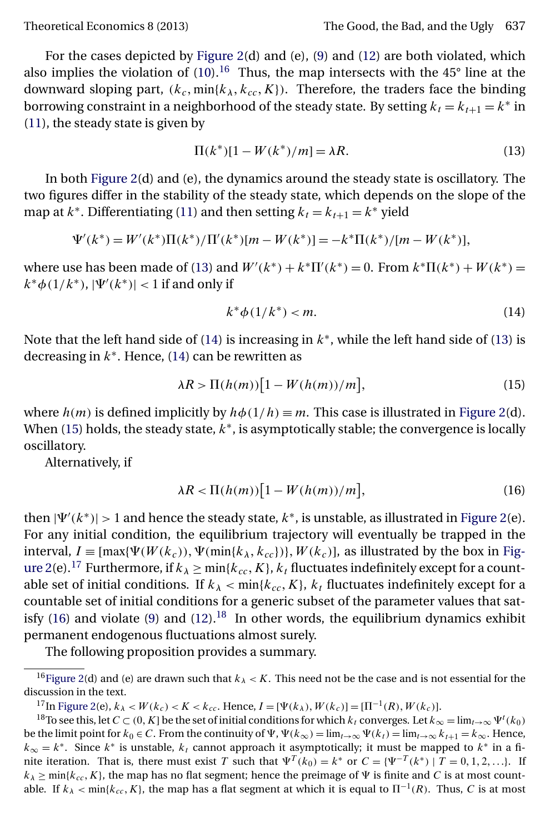For the cases depicted by [Figure 2\(](#page-12-0)d) and (e), [\(9\)](#page-11-0) and [\(12\)](#page-13-0) are both violated, which also implies the violation of  $(10)$ .<sup>16</sup> Thus, the map intersects with the 45° line at the downward sloping part,  $(k_c, \min\{k_\lambda, k_{cc}, K\})$ . Therefore, the traders face the binding borrowing constraint in a neighborhood of the steady state. By setting  $k_t = k_{t+1} = k^*$  in [\(11\)](#page-13-0), the steady state is given by

$$
\Pi(k^*)[1 - W(k^*)/m] = \lambda R.
$$
 (13)

In both [Figure 2\(](#page-12-0)d) and (e), the dynamics around the steady state is oscillatory. The two figures differ in the stability of the steady state, which depends on the slope of the map at  $k^*$ . Differentiating [\(11\)](#page-13-0) and then setting  $k_t = k_{t+1} = k^*$  yield

$$
\Psi'(k^*) = W'(k^*)\Pi(k^*)/\Pi'(k^*)[m - W(k^*)] = -k^*\Pi(k^*)/[m - W(k^*)],
$$

where use has been made of (13) and  $W'(k^*) + k^* \Pi'(k^*) = 0$ . From  $k^* \Pi(k^*) + W(k^*) = 0$  $k^* \phi(1/k^*)$ ,  $|\Psi'(k^*)| < 1$  if and only if

$$
k^*\phi(1/k^*) < m. \tag{14}
$$

Note that the left hand side of  $(14)$  is increasing in  $k^*$ , while the left hand side of  $(13)$  is decreasing in  $k^*$ . Hence, (14) can be rewritten as

$$
\lambda R > \Pi(h(m)) \big[ 1 - W(h(m))/m \big], \tag{15}
$$

where  $h(m)$  is defined implicitly by  $h\phi(1/h) \equiv m$ . This case is illustrated in [Figure 2\(](#page-12-0)d). When (15) holds, the steady state,  $k^*$ , is asymptotically stable; the convergence is locally oscillatory.

Alternatively, if

$$
\lambda R < \Pi(h(m)) \left[ 1 - W(h(m))/m \right],\tag{16}
$$

then  $|\Psi'(k^*)| > 1$  and hence the steady state,  $k^*$ , is unstable, as illustrated in [Figure 2\(](#page-12-0)e). For any initial condition, the equilibrium trajectory will eventually be trapped in the interval,  $I \equiv [\max{\Psi(W(k_c))}, \Psi(\min{\{k_\lambda, k_{cc}\}}), W(k_c)]$ , as illustrated by the box in [Fig](#page-12-0)[ure 2\(](#page-12-0)e). $^{17}$  Furthermore, if  $k_\lambda \ge \min\{k_{cc}, K\}$ ,  $k_t$  fluctuates indefinitely except for a countable set of initial conditions. If  $k_{\lambda} < \min\{k_{cc}, K\}$ ,  $k_t$  fluctuates indefinitely except for a countable set of initial conditions for a generic subset of the parameter values that sat-isfy (16) and violate [\(9\)](#page-11-0) and [\(12\)](#page-13-0).<sup>18</sup> In other words, the equilibrium dynamics exhibit permanent endogenous fluctuations almost surely.

The following proposition provides a summary.

<sup>&</sup>lt;sup>16</sup>Figure 2(d) and (e) are drawn such that  $k_{\lambda} < K$ . This need not be the case and is not essential for the discussion in the text.

<sup>&</sup>lt;sup>17</sup>In [Figure 2\(](#page-12-0)e),  $k_{\lambda} < W(k_c) < K < k_{cc}$ . Hence,  $I = [\Psi(k_{\lambda}), W(k_c)] = [\Pi^{-1}(R), W(k_c)].$ 

<sup>&</sup>lt;sup>18</sup>To see this, let  $C \subset (0, K]$  be the set of initial conditions for which  $k_t$  converges. Let  $k_\infty = \lim_{t \to \infty} \Psi^t(k_0)$ be the limit point for  $k_0 \in C$ . From the continuity of  $\Psi$ ,  $\Psi(k_\infty) = \lim_{t\to\infty} \Psi(k_t) = \lim_{t\to\infty} k_{t+1} = k_\infty$ . Hence,  $k_{\infty} = k^*$ . Since  $k^*$  is unstable,  $k_t$  cannot approach it asymptotically; it must be mapped to  $k^*$  in a finite iteration. That is, there must exist T such that  $\Psi^{T}(k_0) = k^*$  or  $C = {\Psi^{-T}(k^*) | T = 0, 1, 2, \ldots}.$  If  $k_{\lambda} \ge \min\{k_{cc}, K\}$ , the map has no flat segment; hence the preimage of  $\Psi$  is finite and C is at most countable. If  $k_{\lambda} < \min\{k_{cc}, K\}$ , the map has a flat segment at which it is equal to  $\Pi^{-1}(R)$ . Thus, C is at most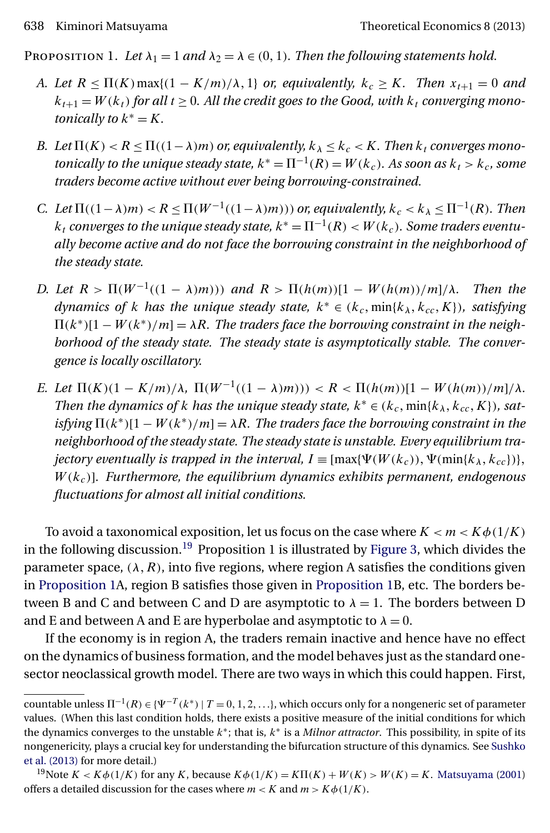<span id="page-15-0"></span>PROPOSITION 1. Let  $\lambda_1 = 1$  and  $\lambda_2 = \lambda \in (0, 1)$ . Then the following statements hold.

- *A.* Let  $R \leq \Pi(K) \max\{(1 K/m)/\lambda, 1\}$  or, equivalently,  $k_c \geq K$ . Then  $x_{t+1} = 0$  and  $k_{t+1} = W(k_t)$  for all  $t \geq 0$ . All the credit goes to the Good, with  $k_t$  converging mono*tonically to*  $k^* = K$ .
- *B.* Let  $\Pi(K) < R \leq \Pi((1 \lambda)m)$  or, equivalently,  $k_{\lambda} \leq k_{c} < K$ . Then  $k_{t}$  converges mono*tonically to the unique steady state,*  $k^* = \Pi^{-1}(R) = W(k_c)$ . As soon as  $k_t > k_c$ , some *traders become active without ever being borrowing-constrained.*
- *C.* Let  $\Pi((1-\lambda)m) < R \le \Pi(W^{-1}((1-\lambda)m))$  or, equivalently,  $k_c < k_{\lambda} \le \Pi^{-1}(R)$ . Then  $k_t$  converges to the unique steady state,  $k^* = \Pi^{-1}(R) < W(k_c)$ . Some traders eventu*ally become active and do not face the borrowing constraint in the neighborhood of the steady state.*
- *D. Let*  $R > \Pi(W^{-1}((1 \lambda)m))$  *and*  $R > \Pi(h(m))[1 W(h(m))/m]/\lambda$ *. Then the dynamics of* k has the unique steady state,  $k^* \in (k_c, \min\{k_\lambda, k_{cc}, K\})$ , satisfying  $\Pi(k^*)[1 - W(k^*)/m] = \lambda R$ . The traders face the borrowing constraint in the neigh*borhood of the steady state. The steady state is asymptotically stable. The convergence is locally oscillatory.*
- *E. Let*  $\Pi(K)(1 K/m)/\lambda$ ,  $\Pi(W^{-1}((1 \lambda)m)) < R < \Pi(h(m))[1 W(h(m))/m]/\lambda$ . *Then the dynamics of k* has the unique steady state,  $k^* \in (k_c, \min\{k_\lambda, k_{cc}, K\})$ , sat*isfying*  $\Pi(k^*)[1 - W(k^*)/m] = \lambda R$ . The traders face the borrowing constraint in the *neighborhood of the steady state. The steady state is unstable. Every equilibrium trajectory eventually is trapped in the interval,*  $I \equiv [\max{\Psi(W(k_c))}, \Psi(\min{\{k_\lambda, k_{cc}\}})],$  $W(k<sub>c</sub>)$ ]. Furthermore, the equilibrium dynamics exhibits permanent, endogenous *fluctuations for almost all initial conditions.*

To avoid a taxonomical exposition, let us focus on the case where  $K < m < K\phi(1/K)$ in the following discussion.<sup>19</sup> Proposition 1 is illustrated by [Figure 3,](#page-16-0) which divides the parameter space,  $(\lambda,R)$ , into five regions, where region A satisfies the conditions given in Proposition 1A, region B satisfies those given in Proposition 1B, etc. The borders between B and C and between C and D are asymptotic to  $\lambda = 1$ . The borders between D and E and between A and E are hyperbolae and asymptotic to  $\lambda = 0$ .

If the economy is in region A, the traders remain inactive and hence have no effect on the dynamics of business formation, and the model behaves just as the standard onesector neoclassical growth model. There are two ways in which this could happen. First,

countable unless  $\Pi^{-1}(R) \in {\Psi^{-T}(k^*) \mid T = 0, 1, 2, \ldots}$ , which occurs only for a nongeneric set of parameter values. (When this last condition holds, there exists a positive measure of the initial conditions for which the dynamics converges to the unstable k∗; that is, k<sup>∗</sup> is a *Milnor attractor*. This possibility, in spite of its nongenericity, plays a crucial key for understanding the bifurcation structure of this dynamics. See [Sushko](#page-28-0) [et al. \(2013\)](#page-28-0) for more detail.)

<sup>&</sup>lt;sup>19</sup>Note  $K < K\phi(1/K)$  for any K, because  $K\phi(1/K) = K\Pi(K) + W(K) > W(K) = K$ . [Matsuyama](#page-27-0) [\(2001\)](#page-27-0) offers a detailed discussion for the cases where  $m < K$  and  $m > K\phi(1/K)$ .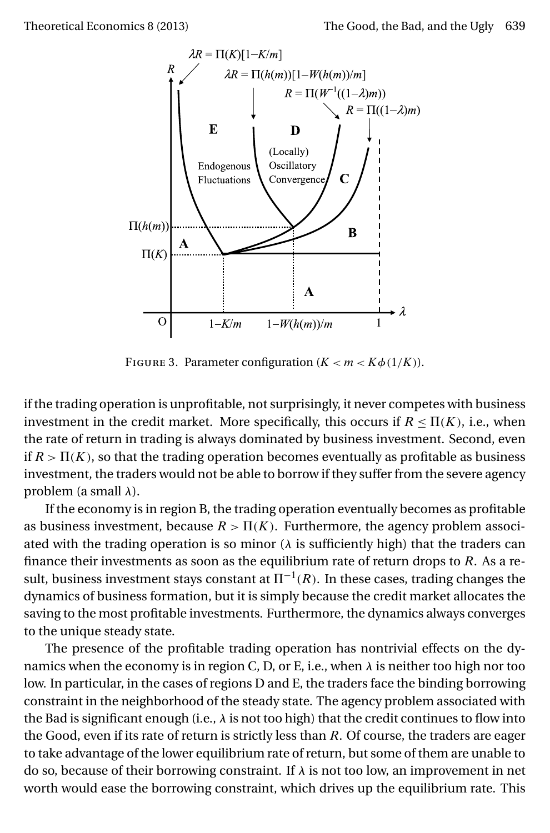<span id="page-16-0"></span>

FIGURE 3. Parameter configuration  $(K < m < K\phi(1/K))$ .

if the trading operation is unprofitable, not surprisingly, it never competes with business investment in the credit market. More specifically, this occurs if  $R \leq \Pi(K)$ , i.e., when the rate of return in trading is always dominated by business investment. Second, even if  $R > \Pi(K)$ , so that the trading operation becomes eventually as profitable as business investment, the traders would not be able to borrow if they suffer from the severe agency problem (a small  $\lambda$ ).

If the economy is in region B, the trading operation eventually becomes as profitable as business investment, because  $R > \Pi(K)$ . Furthermore, the agency problem associated with the trading operation is so minor ( $\lambda$  is sufficiently high) that the traders can finance their investments as soon as the equilibrium rate of return drops to  $R$ . As a result, business investment stays constant at  $\Pi^{-1}(R)$ . In these cases, trading changes the dynamics of business formation, but it is simply because the credit market allocates the saving to the most profitable investments. Furthermore, the dynamics always converges to the unique steady state.

The presence of the profitable trading operation has nontrivial effects on the dynamics when the economy is in region C, D, or E, i.e., when  $\lambda$  is neither too high nor too low. In particular, in the cases of regions D and E, the traders face the binding borrowing constraint in the neighborhood of the steady state. The agency problem associated with the Bad is significant enough (i.e.,  $\lambda$  is not too high) that the credit continues to flow into the Good, even if its rate of return is strictly less than  $R$ . Of course, the traders are eager to take advantage of the lower equilibrium rate of return, but some of them are unable to do so, because of their borrowing constraint. If  $\lambda$  is not too low, an improvement in net worth would ease the borrowing constraint, which drives up the equilibrium rate. This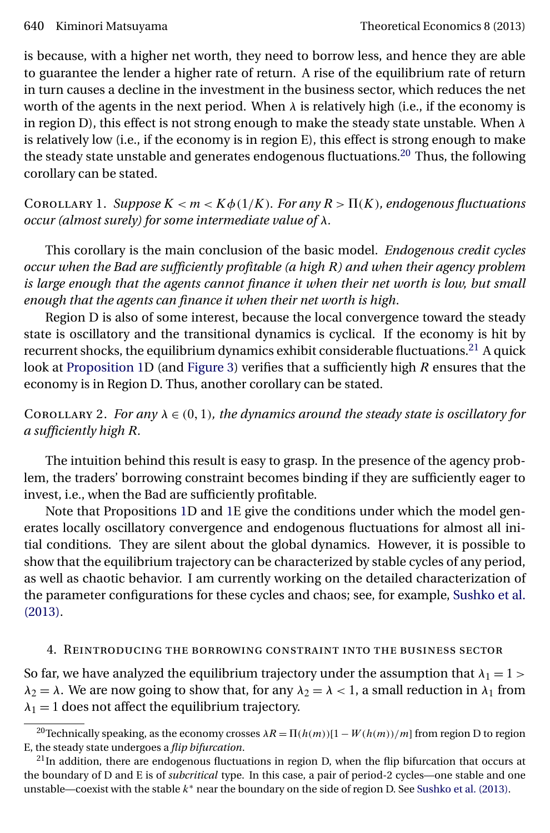<span id="page-17-0"></span>is because, with a higher net worth, they need to borrow less, and hence they are able to guarantee the lender a higher rate of return. A rise of the equilibrium rate of return in turn causes a decline in the investment in the business sector, which reduces the net worth of the agents in the next period. When  $\lambda$  is relatively high (i.e., if the economy is in region D), this effect is not strong enough to make the steady state unstable. When  $\lambda$ is relatively low (i.e., if the economy is in region E), this effect is strong enough to make the steady state unstable and generates endogenous fluctuations.<sup>20</sup> Thus, the following corollary can be stated.

COROLLARY 1. *Suppose*  $K < m < K\phi(1/K)$ . For any  $R > \Pi(K)$ , endogenous fluctuations *occur (almost surely) for some intermediate value of* λ*.*

This corollary is the main conclusion of the basic model. *Endogenous credit cycles occur when the Bad are sufficiently profitable (a high* R*) and when their agency problem is large enough that the agents cannot finance it when their net worth is low, but small enough that the agents can finance it when their net worth is high*.

Region D is also of some interest, because the local convergence toward the steady state is oscillatory and the transitional dynamics is cyclical. If the economy is hit by recurrent shocks, the equilibrium dynamics exhibit considerable fluctuations.<sup>21</sup> A quick look at [Proposition 1D](#page-15-0) (and [Figure 3\)](#page-16-0) verifies that a sufficiently high R ensures that the economy is in Region D. Thus, another corollary can be stated.

COROLLARY 2. For any  $\lambda \in (0,1)$ , the dynamics around the steady state is oscillatory for *a sufficiently high* R*.*

The intuition behind this result is easy to grasp. In the presence of the agency problem, the traders' borrowing constraint becomes binding if they are sufficiently eager to invest, i.e., when the Bad are sufficiently profitable.

Note that Propositions [1D](#page-15-0) and [1E](#page-15-0) give the conditions under which the model generates locally oscillatory convergence and endogenous fluctuations for almost all initial conditions. They are silent about the global dynamics. However, it is possible to show that the equilibrium trajectory can be characterized by stable cycles of any period, as well as chaotic behavior. I am currently working on the detailed characterization of the parameter configurations for these cycles and chaos; see, for example, [Sushko et al.](#page-28-0) [\(2013\).](#page-28-0)

## 4. Reintroducing the borrowing constraint into the business sector

So far, we have analyzed the equilibrium trajectory under the assumption that  $\lambda_1 = 1$  >  $\lambda_2 = \lambda$ . We are now going to show that, for any  $\lambda_2 = \lambda < 1$ , a small reduction in  $\lambda_1$  from  $\lambda_1 = 1$  does not affect the equilibrium trajectory.

<sup>&</sup>lt;sup>20</sup>Technically speaking, as the economy crosses  $\lambda R = \Pi(h(m))[1 - W(h(m))/m]$  from region D to region E, the steady state undergoes a *flip bifurcation*.

<sup>&</sup>lt;sup>21</sup>In addition, there are endogenous fluctuations in region D, when the flip bifurcation that occurs at the boundary of D and E is of *subcritical* type. In this case, a pair of period-2 cycles—one stable and one unstable—coexist with the stable  $k^*$  near the boundary on the side of region D. See [Sushko et al. \(2013\).](#page-28-0)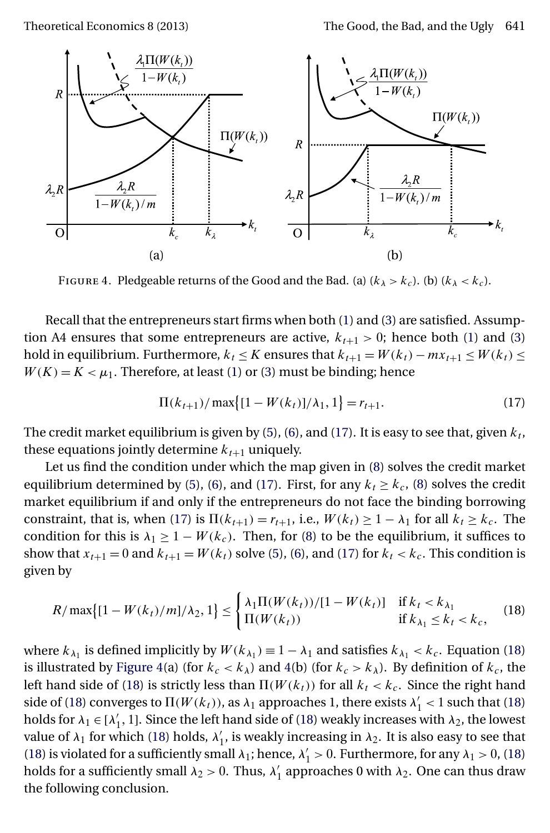<span id="page-18-0"></span>

FIGURE 4. Pledgeable returns of the Good and the Bad. (a)  $(k_{\lambda} > k_c)$ . (b)  $(k_{\lambda} < k_c)$ .

Recall that the entrepreneurs start firms when both [\(1\)](#page-4-0) and [\(3\)](#page-6-0) are satisfied. Assumption A4 ensures that some entrepreneurs are active,  $k_{t+1} > 0$ ; hence both [\(1\)](#page-4-0) and [\(3\)](#page-6-0) hold in equilibrium. Furthermore,  $k_t \leq K$  ensures that  $k_{t+1} = W(k_t) - mx_{t+1} \leq W(k_t) \leq$  $W(K) = K < \mu_1$ . Therefore, at least [\(1\)](#page-4-0) or [\(3\)](#page-6-0) must be binding; hence

$$
\Pi(k_{t+1})/\max\{[1 - W(k_t)]/\lambda_1, 1\} = r_{t+1}.
$$
\n(17)

The credit market equilibrium is given by [\(5\)](#page-9-0), [\(6\)](#page-9-0), and (17). It is easy to see that, given  $k_t$ , these equations jointly determine  $k_{t+1}$  uniquely.

Let us find the condition under which the map given in [\(8\)](#page-11-0) solves the credit market equilibrium determined by [\(5\)](#page-9-0), [\(6\)](#page-9-0), and (17). First, for any  $k_t \geq k_c$ , [\(8\)](#page-11-0) solves the credit market equilibrium if and only if the entrepreneurs do not face the binding borrowing constraint, that is, when (17) is  $\Pi(k_{t+1}) = r_{t+1}$ , i.e.,  $W(k_t) \ge 1 - \lambda_1$  for all  $k_t \ge k_c$ . The condition for this is  $\lambda_1 \geq 1 - W(k_c)$ . Then, for [\(8\)](#page-11-0) to be the equilibrium, it suffices to show that  $x_{t+1} = 0$  and  $k_{t+1} = W(k_t)$  solve [\(5\)](#page-9-0), [\(6\)](#page-9-0), and (17) for  $k_t < k_c$ . This condition is given by

$$
R/\max\{[1 - W(k_t)/m]/\lambda_2, 1\} \le \begin{cases} \lambda_1 \Pi(W(k_t))/[1 - W(k_t)] & \text{if } k_t < k_{\lambda_1} \\ \Pi(W(k_t)) & \text{if } k_{\lambda_1} \le k_t < k_c, \end{cases} \tag{18}
$$

where  $k_{\lambda_1}$  is defined implicitly by  $W(k_{\lambda_1}) \equiv 1 - \lambda_1$  and satisfies  $k_{\lambda_1} < k_c$ . Equation (18) is illustrated by Figure 4(a) (for  $k_c < k_{\lambda}$ ) and 4(b) (for  $k_c > k_{\lambda}$ ). By definition of  $k_c$ , the left hand side of (18) is strictly less than  $\Pi(W(k_t))$  for all  $k_t < k_c$ . Since the right hand side of (18) converges to  $\Pi(W(k_t))$ , as  $\lambda_1$  approaches 1, there exists  $\lambda'_1 < 1$  such that (18) holds for  $\lambda_1 \in [\lambda'_1, 1]$ . Since the left hand side of (18) weakly increases with  $\lambda_2$ , the lowest value of  $\lambda_1$  for which (18) holds,  $\lambda'_1$ , is weakly increasing in  $\lambda_2$ . It is also easy to see that (18) is violated for a sufficiently small  $\lambda_1$ ; hence,  $\lambda'_1 > 0$ . Furthermore, for any  $\lambda_1 > 0$ , (18) holds for a sufficiently small  $\lambda_2 > 0$ . Thus,  $\lambda'_1$  approaches 0 with  $\lambda_2$ . One can thus draw the following conclusion.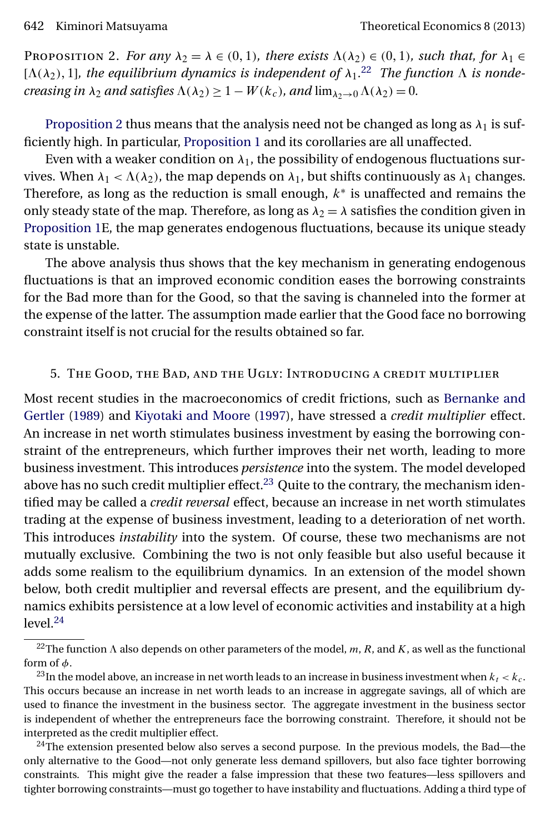<span id="page-19-0"></span>PROPOSITION 2. *For any*  $\lambda_2 = \lambda \in (0, 1)$ *, there exists*  $\Lambda(\lambda_2) \in (0, 1)$ *, such that, for*  $\lambda_1 \in$ [ $\Lambda(\lambda_2)$ , 1], the equilibrium dynamics is independent of  $\lambda_1$ .<sup>22</sup> The function  $\Lambda$  is nonde*creasing in*  $\lambda_2$  *and satisfies*  $\Lambda(\lambda_2) \geq 1 - W(k_c)$ *, and*  $\lim_{\lambda_2 \to 0} \Lambda(\lambda_2) = 0$ *.* 

Proposition 2 thus means that the analysis need not be changed as long as  $\lambda_1$  is sufficiently high. In particular, [Proposition 1](#page-15-0) and its corollaries are all unaffected.

Even with a weaker condition on  $\lambda_1$ , the possibility of endogenous fluctuations survives. When  $\lambda_1 < \Lambda(\lambda_2)$ , the map depends on  $\lambda_1$ , but shifts continuously as  $\lambda_1$  changes. Therefore, as long as the reduction is small enough,  $k^*$  is unaffected and remains the only steady state of the map. Therefore, as long as  $\lambda_2 = \lambda$  satisfies the condition given in [Proposition 1E](#page-15-0), the map generates endogenous fluctuations, because its unique steady state is unstable.

The above analysis thus shows that the key mechanism in generating endogenous fluctuations is that an improved economic condition eases the borrowing constraints for the Bad more than for the Good, so that the saving is channeled into the former at the expense of the latter. The assumption made earlier that the Good face no borrowing constraint itself is not crucial for the results obtained so far.

### 5. The Good, the Bad, and the Ugly: Introducing a credit multiplier

Most recent studies in the macroeconomics of credit frictions, such as [Bernanke and](#page-27-0) [Gertler](#page-27-0) [\(1989\)](#page-27-0) and [Kiyotaki and Moore](#page-27-0) [\(1997\)](#page-27-0), have stressed a *credit multiplier* effect. An increase in net worth stimulates business investment by easing the borrowing constraint of the entrepreneurs, which further improves their net worth, leading to more business investment. This introduces *persistence* into the system. The model developed above has no such credit multiplier effect.<sup>23</sup> Quite to the contrary, the mechanism identified may be called a *credit reversal* effect, because an increase in net worth stimulates trading at the expense of business investment, leading to a deterioration of net worth. This introduces *instability* into the system. Of course, these two mechanisms are not mutually exclusive. Combining the two is not only feasible but also useful because it adds some realism to the equilibrium dynamics. In an extension of the model shown below, both credit multiplier and reversal effects are present, and the equilibrium dynamics exhibits persistence at a low level of economic activities and instability at a high level.<sup>24</sup>

 $24$ The extension presented below also serves a second purpose. In the previous models, the Bad—the only alternative to the Good—not only generate less demand spillovers, but also face tighter borrowing constraints. This might give the reader a false impression that these two features—less spillovers and tighter borrowing constraints—must go together to have instability and fluctuations. Adding a third type of

<sup>&</sup>lt;sup>22</sup>The function  $\Lambda$  also depends on other parameters of the model, m, R, and K, as well as the functional form of  $\phi$ .

<sup>&</sup>lt;sup>23</sup>In the model above, an increase in net worth leads to an increase in business investment when  $k_t < k_c$ . This occurs because an increase in net worth leads to an increase in aggregate savings, all of which are used to finance the investment in the business sector. The aggregate investment in the business sector is independent of whether the entrepreneurs face the borrowing constraint. Therefore, it should not be interpreted as the credit multiplier effect.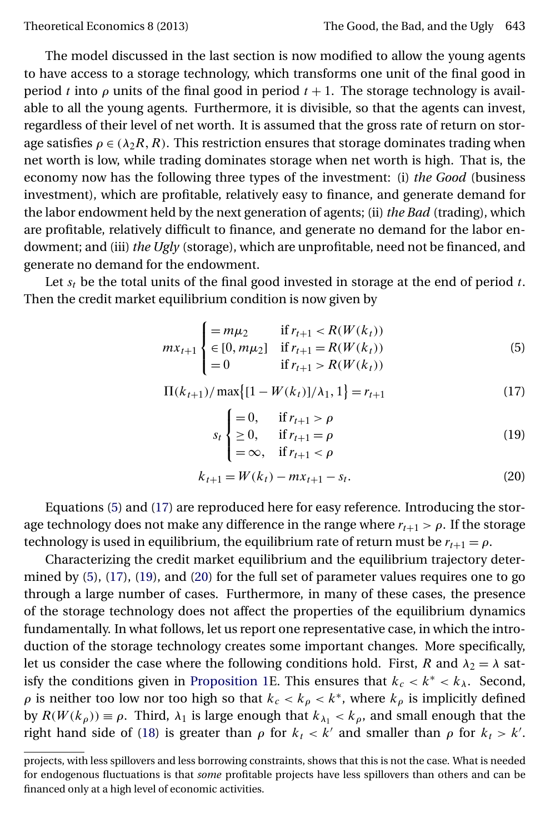The model discussed in the last section is now modified to allow the young agents to have access to a storage technology, which transforms one unit of the final good in period t into  $\rho$  units of the final good in period  $t + 1$ . The storage technology is available to all the young agents. Furthermore, it is divisible, so that the agents can invest, regardless of their level of net worth. It is assumed that the gross rate of return on storage satisfies  $\rho \in (\lambda_2 R, R)$ . This restriction ensures that storage dominates trading when net worth is low, while trading dominates storage when net worth is high. That is, the economy now has the following three types of the investment: (i) *the Good* (business investment), which are profitable, relatively easy to finance, and generate demand for the labor endowment held by the next generation of agents; (ii) *the Bad* (trading), which are profitable, relatively difficult to finance, and generate no demand for the labor endowment; and (iii) *the Ugly* (storage), which are unprofitable, need not be financed, and generate no demand for the endowment.

Let  $s_t$  be the total units of the final good invested in storage at the end of period t. Then the credit market equilibrium condition is now given by

$$
mx_{t+1} \begin{cases} = m\mu_2 & \text{if } r_{t+1} < R(W(k_t)) \\ \in [0, m\mu_2] & \text{if } r_{t+1} = R(W(k_t)) \\ = 0 & \text{if } r_{t+1} > R(W(k_t)) \end{cases} \tag{5}
$$

$$
\Pi(k_{t+1})/\max\{[1 - W(k_t)]/\lambda_1, 1\} = r_{t+1}
$$
\n(17)

$$
s_t \begin{cases} = 0, & \text{if } r_{t+1} > \rho \\ \ge 0, & \text{if } r_{t+1} = \rho \\ = \infty, & \text{if } r_{t+1} < \rho \end{cases} \tag{19}
$$

$$
k_{t+1} = W(k_t) - mx_{t+1} - s_t.
$$
\n(20)

Equations [\(5\)](#page-9-0) and [\(17\)](#page-18-0) are reproduced here for easy reference. Introducing the storage technology does not make any difference in the range where  $r_{t+1} > \rho$ . If the storage technology is used in equilibrium, the equilibrium rate of return must be  $r_{t+1} = \rho$ .

Characterizing the credit market equilibrium and the equilibrium trajectory determined by [\(5\)](#page-9-0), [\(17\)](#page-18-0), (19), and (20) for the full set of parameter values requires one to go through a large number of cases. Furthermore, in many of these cases, the presence of the storage technology does not affect the properties of the equilibrium dynamics fundamentally. In what follows, let us report one representative case, in which the introduction of the storage technology creates some important changes. More specifically, let us consider the case where the following conditions hold. First, R and  $\lambda_2 = \lambda$  sat-isfy the conditions given in [Proposition 1E](#page-15-0). This ensures that  $k_c < k^* < k_{\lambda}$ . Second,  $ρ$  is neither too low nor too high so that  $k_c < k_o < k^*$ , where  $k_o$  is implicitly defined by  $R(W(k_\rho)) \equiv \rho$ . Third,  $\lambda_1$  is large enough that  $k_{\lambda_1} < k_\rho$ , and small enough that the right hand side of [\(18\)](#page-18-0) is greater than  $\rho$  for  $k_t < k'$  and smaller than  $\rho$  for  $k_t > k'$ .

projects, with less spillovers and less borrowing constraints, shows that this is not the case. What is needed for endogenous fluctuations is that *some* profitable projects have less spillovers than others and can be financed only at a high level of economic activities.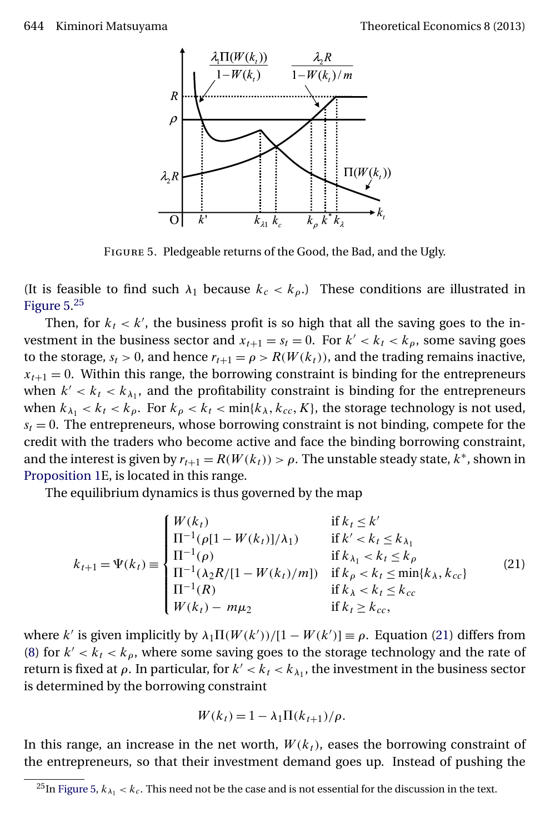<span id="page-21-0"></span>

Figure 5. Pledgeable returns of the Good, the Bad, and the Ugly.

(It is feasible to find such  $\lambda_1$  because  $k_c < k_p$ .) These conditions are illustrated in Figure 5. 25

Then, for  $k_t < k'$ , the business profit is so high that all the saving goes to the investment in the business sector and  $x_{t+1} = s_t = 0$ . For  $k' < k_t < k_\rho$ , some saving goes to the storage,  $s_t > 0$ , and hence  $r_{t+1} = \rho > R(W(k_t))$ , and the trading remains inactive,  $x_{t+1} = 0$ . Within this range, the borrowing constraint is binding for the entrepreneurs when  $k' < k_t < k_{\lambda_1}$ , and the profitability constraint is binding for the entrepreneurs when  $k_{\lambda_1} < k_t < k_\rho$ . For  $k_\rho < k_t < \min\{k_\lambda, k_{cc}, K\}$ , the storage technology is not used,  $s_t = 0$ . The entrepreneurs, whose borrowing constraint is not binding, compete for the credit with the traders who become active and face the binding borrowing constraint, and the interest is given by  $r_{t+1} = R(W(k_t)) > \rho$ . The unstable steady state,  $k^*$ , shown in [Proposition 1E](#page-15-0), is located in this range.

The equilibrium dynamics is thus governed by the map

$$
k_{t+1} = \Psi(k_t) \equiv \begin{cases} W(k_t) & \text{if } k_t \le k' \\ \Pi^{-1}(\rho[1 - W(k_t)]/\lambda_1) & \text{if } k' < k_t \le k_{\lambda_1} \\ \Pi^{-1}(\rho) & \text{if } k_{\lambda_1} < k_t \le k_{\rho} \\ \Pi^{-1}(\lambda_2 R/[1 - W(k_t)/m]) & \text{if } k_{\rho} < k_t \le \min\{k_{\lambda}, k_{cc}\} \\ \Pi^{-1}(R) & \text{if } k_{\lambda} < k_t \le k_{cc} \\ W(k_t) - m\mu_2 & \text{if } k_t \ge k_{cc}, \end{cases} \tag{21}
$$

where k' is given implicitly by  $\lambda_1 \Pi(W(k'))/[1 - W(k')] \equiv \rho$ . Equation (21) differs from [\(8\)](#page-11-0) for  $k' < k_t < k_\rho$ , where some saving goes to the storage technology and the rate of return is fixed at  $\rho$ . In particular, for  $k' < k_t < k_{\lambda_1}$ , the investment in the business sector is determined by the borrowing constraint

$$
W(k_t) = 1 - \lambda_1 \Pi(k_{t+1})/\rho.
$$

In this range, an increase in the net worth,  $W(k<sub>t</sub>)$ , eases the borrowing constraint of the entrepreneurs, so that their investment demand goes up. Instead of pushing the

<sup>&</sup>lt;sup>25</sup>In Figure 5,  $k_{\lambda_1} < k_c$ . This need not be the case and is not essential for the discussion in the text.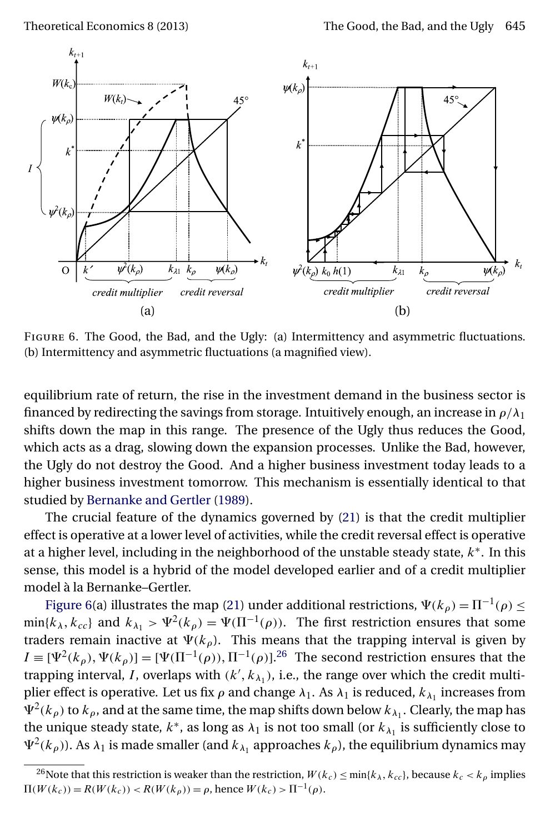<span id="page-22-0"></span>

Figure 6. The Good, the Bad, and the Ugly: (a) Intermittency and asymmetric fluctuations. (b) Intermittency and asymmetric fluctuations (a magnified view).

equilibrium rate of return, the rise in the investment demand in the business sector is financed by redirecting the savings from storage. Intuitively enough, an increase in  $\rho/\lambda_1$ shifts down the map in this range. The presence of the Ugly thus reduces the Good, which acts as a drag, slowing down the expansion processes. Unlike the Bad, however, the Ugly do not destroy the Good. And a higher business investment today leads to a higher business investment tomorrow. This mechanism is essentially identical to that studied by [Bernanke and Gertler](#page-27-0) [\(1989\)](#page-27-0).

The crucial feature of the dynamics governed by [\(21\)](#page-21-0) is that the credit multiplier effect is operative at a lower level of activities, while the credit reversal effect is operative at a higher level, including in the neighborhood of the unstable steady state,  $k^*$ . In this sense, this model is a hybrid of the model developed earlier and of a credit multiplier model à la Bernanke–Gertler.

Figure 6(a) illustrates the map [\(21\)](#page-21-0) under additional restrictions,  $\Psi(k_\rho) = \Pi^{-1}(\rho) \leq$  $\min\{k_{\lambda}, k_{cc}\}\$  and  $k_{\lambda_1} > \Psi^2(k_{\rho}) = \Psi(\Pi^{-1}(\rho)).$  The first restriction ensures that some traders remain inactive at  $\Psi(k_\rho)$ . This means that the trapping interval is given by  $I \equiv [\Psi^2(k_\rho), \Psi(k_\rho)] = [\Psi(\Pi^{-1}(\rho)), \Pi^{-1}(\rho)]^{26}$  The second restriction ensures that the trapping interval, I, overlaps with  $(k', k_{\lambda_1})$ , i.e., the range over which the credit multiplier effect is operative. Let us fix  $\rho$  and change  $\lambda_1$ . As  $\lambda_1$  is reduced,  $k_{\lambda_1}$  increases from  $\Psi^2(k_\rho)$  to  $k_\rho$ , and at the same time, the map shifts down below  $k_{\lambda_1}$ . Clearly, the map has the unique steady state,  $k^*$ , as long as  $\lambda_1$  is not too small (or  $k_{\lambda_1}$  is sufficiently close to  $\Psi^2(k_\rho)$ ). As  $\lambda_1$  is made smaller (and  $k_{\lambda_1}$  approaches  $k_\rho$ ), the equilibrium dynamics may

<sup>&</sup>lt;sup>26</sup>Note that this restriction is weaker than the restriction,  $W(k_c)\leq \min\{k_\lambda,k_{cc}\}$ , because  $k_c < k_\rho$  implies  $\Pi(W(k_c)) = R(W(k_c)) < R(W(k_\rho)) = \rho$ , hence  $W(k_c) > \Pi^{-1}(\rho)$ .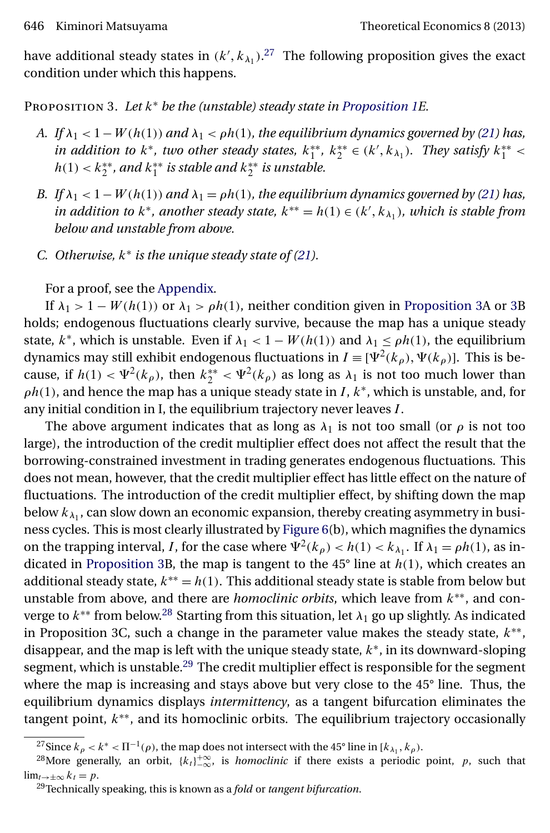<span id="page-23-0"></span>have additional steady states in  $(k', k_{\lambda_1})$ .<sup>27</sup> The following proposition gives the exact condition under which this happens.

Proposition 3. *Let* k<sup>∗</sup> *be the (unstable) steady state in [Proposition 1E](#page-15-0).*

- *A. If*  $\lambda_1 < 1 W(h(1))$  *and*  $\lambda_1 < \rho h(1)$ *, the equilibrium dynamics governed by [\(21\)](#page-21-0) has, in addition to*  $k^*$ *, two other steady states,*  $k_1^{**}$ ,  $k_2^{**} \in (k', k_{\lambda_1})$ *. They satisfy*  $k_1^{**}$  <  $h(1) < k_2^{**}$ , and  $k_1^{**}$  is stable and  $k_2^{**}$  is unstable.
- *B. If*  $\lambda_1 < 1 W(h(1))$  *and*  $\lambda_1 = \rho h(1)$ *, the equilibrium dynamics governed by [\(21\)](#page-21-0) has, in addition to*  $k^*$ *, another steady state,*  $k^{**} = h(1) \in (k', k_{\lambda_1})$ *, which is stable from below and unstable from above.*
- *C. Otherwise,*  $k^*$  *is the unique steady state of [\(21\)](#page-21-0).*

For a proof, see the [Appendix.](#page-26-0)

If  $\lambda_1 > 1 - W(h(1))$  or  $\lambda_1 > \rho h(1)$ , neither condition given in Proposition 3A or 3B holds; endogenous fluctuations clearly survive, because the map has a unique steady state,  $k^*$ , which is unstable. Even if  $\lambda_1 < 1 - W(h(1))$  and  $\lambda_1 \leq \rho h(1)$ , the equilibrium dynamics may still exhibit endogenous fluctuations in  $I \equiv [\Psi^2(k_\rho), \Psi(k_\rho)]$ . This is because, if  $h(1) < \Psi^2(k_\rho)$ , then  $k_2^{**} < \Psi^2(k_\rho)$  as long as  $\lambda_1$  is not too much lower than  $ph(1)$ , and hence the map has a unique steady state in I,  $k^*$ , which is unstable, and, for any initial condition in I, the equilibrium trajectory never leaves I.

The above argument indicates that as long as  $\lambda_1$  is not too small (or  $\rho$  is not too large), the introduction of the credit multiplier effect does not affect the result that the borrowing-constrained investment in trading generates endogenous fluctuations. This does not mean, however, that the credit multiplier effect has little effect on the nature of fluctuations. The introduction of the credit multiplier effect, by shifting down the map below  $k_{\lambda_1}$ , can slow down an economic expansion, thereby creating asymmetry in business cycles. This is most clearly illustrated by [Figure 6\(](#page-22-0)b), which magnifies the dynamics on the trapping interval, I, for the case where  $\Psi^2(k_\rho) < h(1) < k_{\lambda_1}$ . If  $\lambda_1 = \rho h(1)$ , as indicated in Proposition 3B, the map is tangent to the  $45^{\circ}$  line at  $h(1)$ , which creates an additional steady state,  $k^{**} = h(1)$ . This additional steady state is stable from below but unstable from above, and there are *homoclinic orbits*, which leave from k∗∗, and converge to  $k^{**}$  from below.<sup>28</sup> Starting from this situation, let  $\lambda_1$  go up slightly. As indicated in Proposition 3C, such a change in the parameter value makes the steady state,  $k^{**}$ , disappear, and the map is left with the unique steady state,  $k^*$ , in its downward-sloping segment, which is unstable.<sup>29</sup> The credit multiplier effect is responsible for the segment where the map is increasing and stays above but very close to the 45° line. Thus, the equilibrium dynamics displays *intermittency*, as a tangent bifurcation eliminates the tangent point,  $k^{**}$ , and its homoclinic orbits. The equilibrium trajectory occasionally

<sup>&</sup>lt;sup>27</sup>Since  $k_{\rho} < k^* < \Pi^{-1}(\rho)$ , the map does not intersect with the 45° line in [ $k_{\lambda_1}, k_{\rho}$ ].

<sup>&</sup>lt;sup>28</sup>More generally, an orbit,  $\{k_t\}_{-\infty}^{+\infty}$ , is *homoclinic* if there exists a periodic point, p, such that  $\lim_{t\to\pm\infty}k_t=p.$ 

<sup>29</sup>Technically speaking, this is known as a *fold* or *tangent bifurcation*.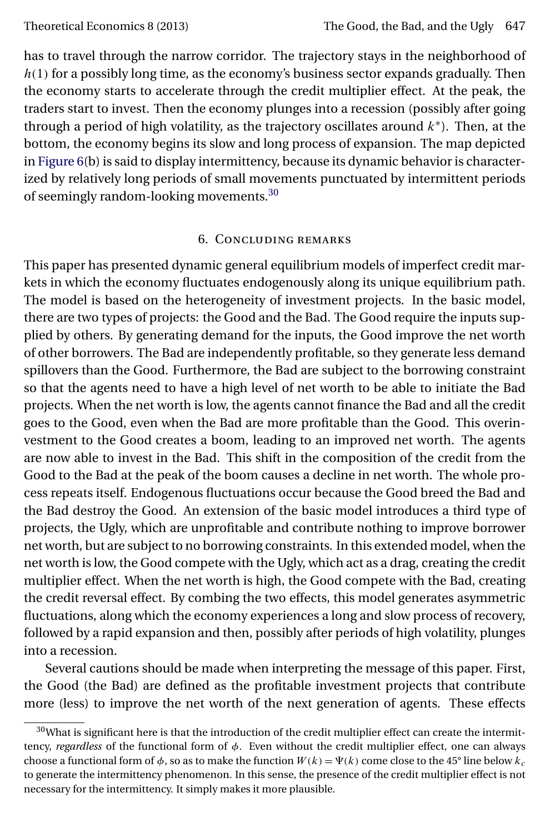<span id="page-24-0"></span>has to travel through the narrow corridor. The trajectory stays in the neighborhood of  $h(1)$  for a possibly long time, as the economy's business sector expands gradually. Then the economy starts to accelerate through the credit multiplier effect. At the peak, the traders start to invest. Then the economy plunges into a recession (possibly after going through a period of high volatility, as the trajectory oscillates around  $k^*$ ). Then, at the bottom, the economy begins its slow and long process of expansion. The map depicted in [Figure 6\(](#page-22-0)b) is said to display intermittency, because its dynamic behavior is characterized by relatively long periods of small movements punctuated by intermittent periods of seemingly random-looking movements.<sup>30</sup>

# 6. Concluding remarks

This paper has presented dynamic general equilibrium models of imperfect credit markets in which the economy fluctuates endogenously along its unique equilibrium path. The model is based on the heterogeneity of investment projects. In the basic model, there are two types of projects: the Good and the Bad. The Good require the inputs supplied by others. By generating demand for the inputs, the Good improve the net worth of other borrowers. The Bad are independently profitable, so they generate less demand spillovers than the Good. Furthermore, the Bad are subject to the borrowing constraint so that the agents need to have a high level of net worth to be able to initiate the Bad projects. When the net worth is low, the agents cannot finance the Bad and all the credit goes to the Good, even when the Bad are more profitable than the Good. This overinvestment to the Good creates a boom, leading to an improved net worth. The agents are now able to invest in the Bad. This shift in the composition of the credit from the Good to the Bad at the peak of the boom causes a decline in net worth. The whole process repeats itself. Endogenous fluctuations occur because the Good breed the Bad and the Bad destroy the Good. An extension of the basic model introduces a third type of projects, the Ugly, which are unprofitable and contribute nothing to improve borrower net worth, but are subject to no borrowing constraints. In this extended model, when the net worth is low, the Good compete with the Ugly, which act as a drag, creating the credit multiplier effect. When the net worth is high, the Good compete with the Bad, creating the credit reversal effect. By combing the two effects, this model generates asymmetric fluctuations, along which the economy experiences a long and slow process of recovery, followed by a rapid expansion and then, possibly after periods of high volatility, plunges into a recession.

Several cautions should be made when interpreting the message of this paper. First, the Good (the Bad) are defined as the profitable investment projects that contribute more (less) to improve the net worth of the next generation of agents. These effects

 $30$ What is significant here is that the introduction of the credit multiplier effect can create the intermittency, *regardless* of the functional form of  $\phi$ . Even without the credit multiplier effect, one can always choose a functional form of  $\phi$ , so as to make the function  $W(k) = \Psi(k)$  come close to the 45° line below  $k_c$ to generate the intermittency phenomenon. In this sense, the presence of the credit multiplier effect is not necessary for the intermittency. It simply makes it more plausible.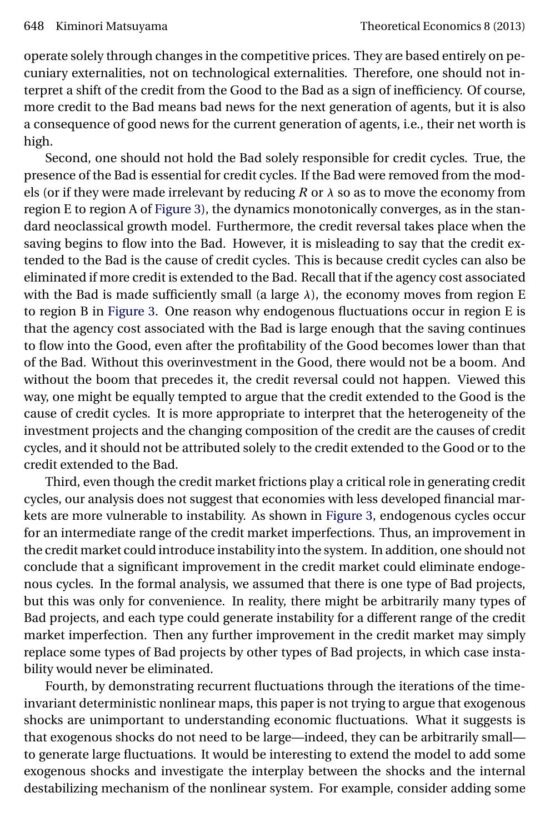operate solely through changes in the competitive prices. They are based entirely on pecuniary externalities, not on technological externalities. Therefore, one should not interpret a shift of the credit from the Good to the Bad as a sign of inefficiency. Of course, more credit to the Bad means bad news for the next generation of agents, but it is also a consequence of good news for the current generation of agents, i.e., their net worth is high.

Second, one should not hold the Bad solely responsible for credit cycles. True, the presence of the Bad is essential for credit cycles. If the Bad were removed from the models (or if they were made irrelevant by reducing R or  $\lambda$  so as to move the economy from region E to region A of [Figure 3\)](#page-16-0), the dynamics monotonically converges, as in the standard neoclassical growth model. Furthermore, the credit reversal takes place when the saving begins to flow into the Bad. However, it is misleading to say that the credit extended to the Bad is the cause of credit cycles. This is because credit cycles can also be eliminated if more credit is extended to the Bad. Recall that if the agency cost associated with the Bad is made sufficiently small (a large  $\lambda$ ), the economy moves from region E to region B in [Figure 3.](#page-16-0) One reason why endogenous fluctuations occur in region E is that the agency cost associated with the Bad is large enough that the saving continues to flow into the Good, even after the profitability of the Good becomes lower than that of the Bad. Without this overinvestment in the Good, there would not be a boom. And without the boom that precedes it, the credit reversal could not happen. Viewed this way, one might be equally tempted to argue that the credit extended to the Good is the cause of credit cycles. It is more appropriate to interpret that the heterogeneity of the investment projects and the changing composition of the credit are the causes of credit cycles, and it should not be attributed solely to the credit extended to the Good or to the credit extended to the Bad.

Third, even though the credit market frictions play a critical role in generating credit cycles, our analysis does not suggest that economies with less developed financial markets are more vulnerable to instability. As shown in [Figure 3,](#page-16-0) endogenous cycles occur for an intermediate range of the credit market imperfections. Thus, an improvement in the credit market could introduce instability into the system. In addition, one should not conclude that a significant improvement in the credit market could eliminate endogenous cycles. In the formal analysis, we assumed that there is one type of Bad projects, but this was only for convenience. In reality, there might be arbitrarily many types of Bad projects, and each type could generate instability for a different range of the credit market imperfection. Then any further improvement in the credit market may simply replace some types of Bad projects by other types of Bad projects, in which case instability would never be eliminated.

Fourth, by demonstrating recurrent fluctuations through the iterations of the timeinvariant deterministic nonlinear maps, this paper is not trying to argue that exogenous shocks are unimportant to understanding economic fluctuations. What it suggests is that exogenous shocks do not need to be large—indeed, they can be arbitrarily small to generate large fluctuations. It would be interesting to extend the model to add some exogenous shocks and investigate the interplay between the shocks and the internal destabilizing mechanism of the nonlinear system. For example, consider adding some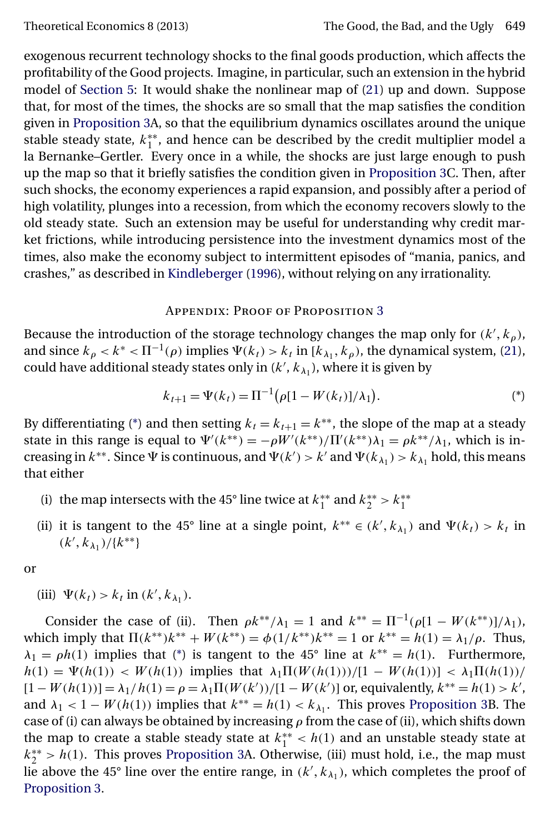<span id="page-26-0"></span>exogenous recurrent technology shocks to the final goods production, which affects the profitability of the Good projects. Imagine, in particular, such an extension in the hybrid model of [Section 5:](#page-19-0) It would shake the nonlinear map of [\(21\)](#page-21-0) up and down. Suppose that, for most of the times, the shocks are so small that the map satisfies the condition given in [Proposition 3A](#page-23-0), so that the equilibrium dynamics oscillates around the unique stable steady state,  $k_1^{**}$ , and hence can be described by the credit multiplier model a la Bernanke–Gertler. Every once in a while, the shocks are just large enough to push up the map so that it briefly satisfies the condition given in [Proposition 3C](#page-23-0). Then, after such shocks, the economy experiences a rapid expansion, and possibly after a period of high volatility, plunges into a recession, from which the economy recovers slowly to the old steady state. Such an extension may be useful for understanding why credit market frictions, while introducing persistence into the investment dynamics most of the times, also make the economy subject to intermittent episodes of "mania, panics, and crashes," as described in [Kindleberger](#page-27-0) [\(1996\)](#page-27-0), without relying on any irrationality.

#### Appendix: Proof of Proposition [3](#page-23-0)

Because the introduction of the storage technology changes the map only for  $(k', k_\rho)$ , and since  $k_\rho < k^* < \Pi^{-1}(\rho)$  implies  $\Psi(k_t) > k_t$  in  $[k_{\lambda_1}, k_\rho)$ , the dynamical system, [\(21\)](#page-21-0), could have additional steady states only in  $(k', k_{\lambda_1})$ , where it is given by

$$
k_{t+1} = \Psi(k_t) = \Pi^{-1} (\rho [1 - W(k_t)] / \lambda_1).
$$
 (\*)

By differentiating (\*) and then setting  $k_t = k_{t+1} = k^{**}$ , the slope of the map at a steady state in this range is equal to  $\Psi'(k^{**}) = -\rho W'(k^{**})/\Pi'(k^{**})\lambda_1 = \rho k^{**}/\lambda_1$ , which is increasing in  $k^{**}$ . Since  $\Psi$  is continuous, and  $\Psi(k') > k'$  and  $\Psi(k_{\lambda_1}) > k_{\lambda_1}$  hold, this means that either

- (i) the map intersects with the 45° line twice at  $k_1^{**}$  and  $k_2^{**} > k_1^{**}$
- (ii) it is tangent to the 45° line at a single point,  $k^{**} \in (k', k_{\lambda_1})$  and  $\Psi(k_t) > k_t$  in  $(k', k_{\lambda_1})/{k^{**}}$

or

(iii)  $\Psi(k_t) > k_t$  in  $(k', k_{\lambda_1})$ .

Consider the case of (ii). Then  $\rho k^{**}/\lambda_1 = 1$  and  $k^{**} = \Pi^{-1}(\rho[1 - W(k^{**})]/\lambda_1)$ , which imply that  $\Pi(k^{**})k^{**} + W(k^{**}) = \phi(1/k^{**})k^{**} = 1$  or  $k^{**} = h(1) = \lambda_1/\rho$ . Thus,  $\lambda_1 = \rho h(1)$  implies that (\*) is tangent to the 45° line at  $k^{**} = h(1)$ . Furthermore,  $h(1) = \Psi(h(1)) < W(h(1))$  implies that  $\lambda_1 \Pi(W(h(1)))/[1 - W(h(1))] < \lambda_1 \Pi(h(1))/$  $[1 - W(h(1))] = \lambda_1/h(1) = \rho = \lambda_1 \Pi(W(k'))/[1 - W(k')]$  or, equivalently,  $k^{**} = h(1) > k'$ , and  $\lambda_1$  < 1 –  $W(h(1))$  implies that  $k^{**} = h(1) < k_{\lambda_1}$ . This proves [Proposition 3B](#page-23-0). The case of (i) can always be obtained by increasing  $\rho$  from the case of (ii), which shifts down the map to create a stable steady state at  $k_1^{**} < h(1)$  and an unstable steady state at  $k_2^{**} > h(1)$ . This proves [Proposition 3A](#page-23-0). Otherwise, (iii) must hold, i.e., the map must lie above the 45° line over the entire range, in  $(k', k_{\lambda_1})$ , which completes the proof of [Proposition 3.](#page-23-0)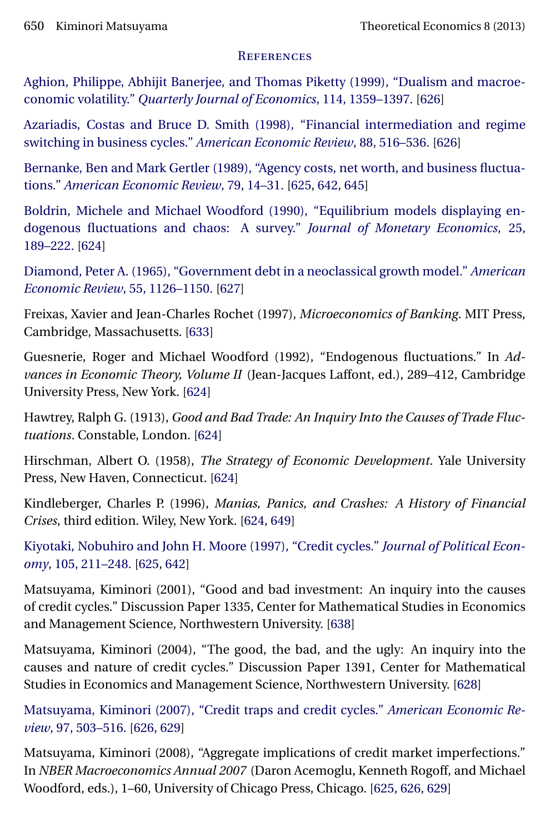# **REFERENCES**

<span id="page-27-0"></span>[Aghion, Philippe, Abhijit Banerjee, and Thomas Piketty \(1999\), "Dualism and macroe](http://www.e-publications.org/srv/te/linkserver/openurl?rft_dat=bib:1/abp99&rfe_id=urn:sici%2F1933-6837%28201309%298%3A3%3C623%3ATGTBAT%3E2.0.CO%3B2-3)conomic volatility." *[Quarterly Journal of Economics](http://www.e-publications.org/srv/te/linkserver/openurl?rft_dat=bib:1/abp99&rfe_id=urn:sici%2F1933-6837%28201309%298%3A3%3C623%3ATGTBAT%3E2.0.CO%3B2-3)*, 114, 1359–1397. [\[626\]](#page-3-0)

[Azariadis, Costas and Bruce D. Smith \(1998\), "Financial intermediation and regime](http://www.e-publications.org/srv/te/linkserver/openurl?rft_dat=bib:2/as98&rfe_id=urn:sici%2F1933-6837%28201309%298%3A3%3C623%3ATGTBAT%3E2.0.CO%3B2-3) [switching in business cycles."](http://www.e-publications.org/srv/te/linkserver/openurl?rft_dat=bib:2/as98&rfe_id=urn:sici%2F1933-6837%28201309%298%3A3%3C623%3ATGTBAT%3E2.0.CO%3B2-3) *American Economic Review*, 88, 516–536. [\[626\]](#page-3-0)

[Bernanke, Ben and Mark Gertler \(1989\), "Agency costs, net worth, and business fluctua](http://www.e-publications.org/srv/te/linkserver/openurl?rft_dat=bib:3/bg89&rfe_id=urn:sici%2F1933-6837%28201309%298%3A3%3C623%3ATGTBAT%3E2.0.CO%3B2-3)tions." *[American Economic Review](http://www.e-publications.org/srv/te/linkserver/openurl?rft_dat=bib:3/bg89&rfe_id=urn:sici%2F1933-6837%28201309%298%3A3%3C623%3ATGTBAT%3E2.0.CO%3B2-3)*, 79, 14–31. [\[625,](#page-2-0) [642,](#page-19-0) [645\]](#page-22-0)

[Boldrin, Michele and Michael Woodford \(1990\), "Equilibrium models displaying en](http://www.e-publications.org/srv/te/linkserver/openurl?rft_dat=bib:4/bw90&rfe_id=urn:sici%2F1933-6837%28201309%298%3A3%3C623%3ATGTBAT%3E2.0.CO%3B2-3)[dogenous fluctuations and chaos: A survey."](http://www.e-publications.org/srv/te/linkserver/openurl?rft_dat=bib:4/bw90&rfe_id=urn:sici%2F1933-6837%28201309%298%3A3%3C623%3ATGTBAT%3E2.0.CO%3B2-3) *Journal of Monetary Economics*, 25, [189–222.](http://www.e-publications.org/srv/te/linkserver/openurl?rft_dat=bib:4/bw90&rfe_id=urn:sici%2F1933-6837%28201309%298%3A3%3C623%3ATGTBAT%3E2.0.CO%3B2-3) [\[624\]](#page-1-0)

[Diamond, Peter A. \(1965\), "Government debt in a neoclassical growth model."](http://www.e-publications.org/srv/te/linkserver/openurl?rft_dat=bib:5/d65&rfe_id=urn:sici%2F1933-6837%28201309%298%3A3%3C623%3ATGTBAT%3E2.0.CO%3B2-3) *American [Economic Review](http://www.e-publications.org/srv/te/linkserver/openurl?rft_dat=bib:5/d65&rfe_id=urn:sici%2F1933-6837%28201309%298%3A3%3C623%3ATGTBAT%3E2.0.CO%3B2-3)*, 55, 1126–1150. [\[627\]](#page-4-0)

Freixas, Xavier and Jean-Charles Rochet (1997), *Microeconomics of Banking*. MIT Press, Cambridge, Massachusetts. [\[633\]](#page-10-0)

Guesnerie, Roger and Michael Woodford (1992), "Endogenous fluctuations." In *Advances in Economic Theory, Volume II* (Jean-Jacques Laffont, ed.), 289–412, Cambridge University Press, New York. [\[624\]](#page-1-0)

Hawtrey, Ralph G. (1913), *Good and Bad Trade: An Inquiry Into the Causes of Trade Fluctuations*. Constable, London. [\[624\]](#page-1-0)

Hirschman, Albert O. (1958), *The Strategy of Economic Development*. Yale University Press, New Haven, Connecticut. [\[624\]](#page-1-0)

Kindleberger, Charles P. (1996), *Manias, Panics, and Crashes: A History of Financial Crises*, third edition. Wiley, New York. [\[624,](#page-1-0) [649\]](#page-26-0)

[Kiyotaki, Nobuhiro and John H. Moore \(1997\), "Credit cycles."](http://www.e-publications.org/srv/te/linkserver/openurl?rft_dat=bib:11/km97&rfe_id=urn:sici%2F1933-6837%28201309%298%3A3%3C623%3ATGTBAT%3E2.0.CO%3B2-3) *Journal of Political Economy*[, 105, 211–248.](http://www.e-publications.org/srv/te/linkserver/openurl?rft_dat=bib:11/km97&rfe_id=urn:sici%2F1933-6837%28201309%298%3A3%3C623%3ATGTBAT%3E2.0.CO%3B2-3) [\[625,](#page-2-0) [642\]](#page-19-0)

Matsuyama, Kiminori (2001), "Good and bad investment: An inquiry into the causes of credit cycles." Discussion Paper 1335, Center for Mathematical Studies in Economics and Management Science, Northwestern University. [\[638\]](#page-15-0)

Matsuyama, Kiminori (2004), "The good, the bad, and the ugly: An inquiry into the causes and nature of credit cycles." Discussion Paper 1391, Center for Mathematical Studies in Economics and Management Science, Northwestern University. [\[628\]](#page-5-0)

[Matsuyama, Kiminori \(2007\), "Credit traps and credit cycles."](http://www.e-publications.org/srv/te/linkserver/openurl?rft_dat=bib:14/m07&rfe_id=urn:sici%2F1933-6837%28201309%298%3A3%3C623%3ATGTBAT%3E2.0.CO%3B2-3) *American Economic Review*[, 97, 503–516.](http://www.e-publications.org/srv/te/linkserver/openurl?rft_dat=bib:14/m07&rfe_id=urn:sici%2F1933-6837%28201309%298%3A3%3C623%3ATGTBAT%3E2.0.CO%3B2-3) [\[626,](#page-3-0) [629\]](#page-6-0)

Matsuyama, Kiminori (2008), "Aggregate implications of credit market imperfections." In *NBER Macroeconomics Annual 2007* (Daron Acemoglu, Kenneth Rogoff, and Michael Woodford, eds.), 1–60, University of Chicago Press, Chicago. [\[625,](#page-2-0) [626,](#page-3-0) [629\]](#page-6-0)